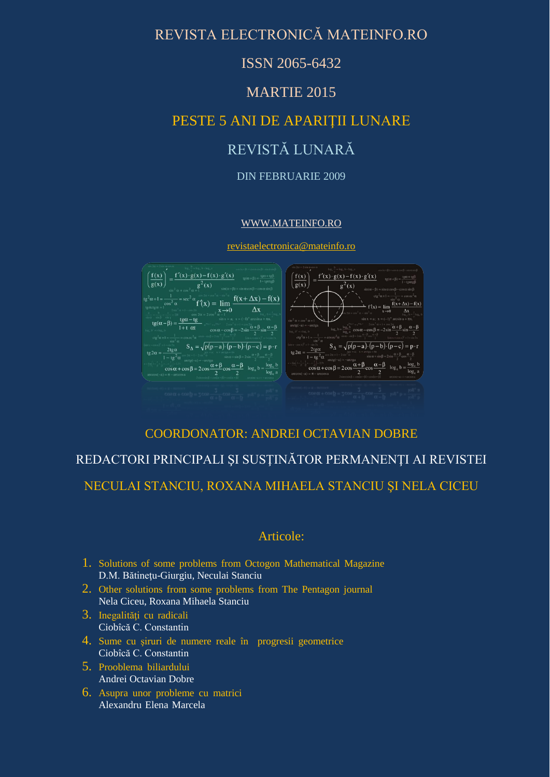# REVISTA ELECTRONICĂ MATEINFO.RO

## ISSN 2065-6432

## MARTIE 2015

# PESTE 5 ANI DE APARIŢII LUNARE

# REVISTĂ LUNARĂ

#### DIN FEBRUARIE 2009

#### [WWW.MATEINFO.RO](http://www.mateinfo.ro/)

[revistaelectronica@mateinfo.ro](mailto:revistaelectronica@mateinfo.ro)



## COORDONATOR: ANDREI OCTAVIAN DOBRE

## REDACTORI PRINCIPALI ŞI SUSŢINĂTOR PERMANENŢI AI REVISTEI

## NECULAI STANCIU, ROXANA MIHAELA STANCIU ŞI NELA CICEU

## Articole:

- 1. Solutions of some problems from Octogon Mathematical Magazine D.M. Bătinetu-Giurgiu, Neculai Stanciu
- 2. Other solutions from some problems from The Pentagon journal Nela Ciceu, Roxana Mihaela Stanciu
- 3. Inegalități cu radicali Ciobîcă C. Constantin
- 4. Sume cu şiruri de numere reale înprogresii geometrice Ciobîcă C. Constantin
- 5. Prooblema biliardului Andrei Octavian Dobre
- 6. Asupra unor probleme cu matrici Alexandru Elena Marcela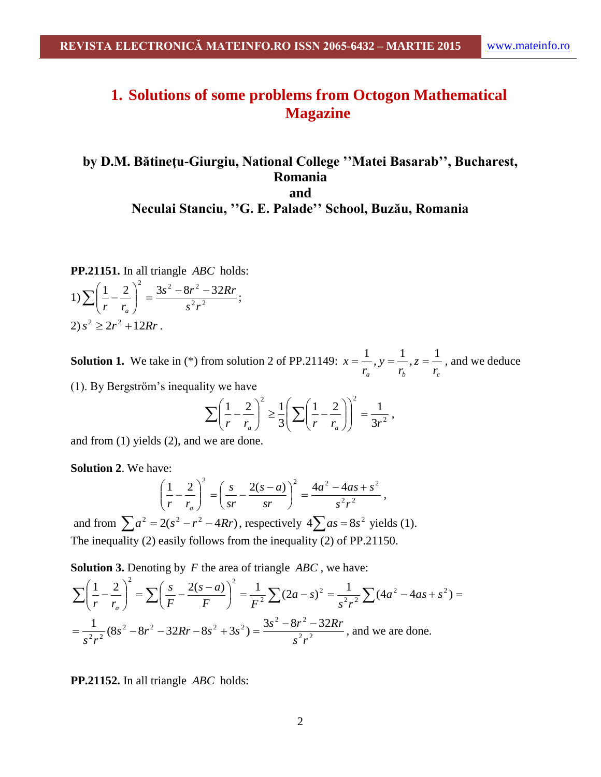# **1. Solutions of some problems from Octogon Mathematical Magazine**

## **by D.M. Bătineţu-Giurgiu, National College ''Matei Basarab'', Bucharest, Romania and Neculai Stanciu, ''G. E. Palade'' School, Buzău, Romania**

PP.21151. In all triangle *ABC* holds:

1) 
$$
\sum \left(\frac{1}{r} - \frac{2}{r_a}\right)^2 = \frac{3s^2 - 8r^2 - 32Rr}{s^2r^2};
$$
  
2) 
$$
s^2 \ge 2r^2 + 12Rr.
$$

**Solution 1.** We take in (\*) from solution 2 of PP.21149:  $r_a$ ,  $r_b$ ,  $r_c$ *z r y r*  $x = \frac{1}{x}$ ,  $y = \frac{1}{x}$ ,  $z = \frac{1}{x}$ , and we deduce

(1). By Bergström's inequality we have

$$
\sum \left(\frac{1}{r} - \frac{2}{r_a}\right)^2 \ge \frac{1}{3} \left(\sum \left(\frac{1}{r} - \frac{2}{r_a}\right)\right)^2 = \frac{1}{3r^2},
$$

and from (1) yields (2), and we are done.

**Solution 2**. We have:

$$
\left(\frac{1}{r} - \frac{2}{r_a}\right)^2 = \left(\frac{s}{sr} - \frac{2(s-a)}{sr}\right)^2 = \frac{4a^2 - 4as + s^2}{s^2r^2},
$$

and from  $\sum a^2 = 2(s^2 - r^2 - 4Rr)$ , respectively  $4\sum as = 8s^2$  yields (1). The inequality (2) easily follows from the inequality (2) of PP.21150.

**Solution 3.** Denoting by *F* the area of triangle *ABC* , we have:

**Solution 3.** Denoting by *F* the area of triangle *ABC*, we have:  
\n
$$
\sum \left(\frac{1}{r} - \frac{2}{r_a}\right)^2 = \sum \left(\frac{s}{F} - \frac{2(s-a)}{F}\right)^2 = \frac{1}{F^2} \sum (2a - s)^2 = \frac{1}{s^2 r^2} \sum (4a^2 - 4as + s^2) =
$$
\n
$$
= \frac{1}{s^2 r^2} (8s^2 - 8r^2 - 32Rr - 8s^2 + 3s^2) = \frac{3s^2 - 8r^2 - 32Rr}{s^2 r^2}, \text{ and we are done.}
$$

PP.21152. In all triangle *ABC* holds: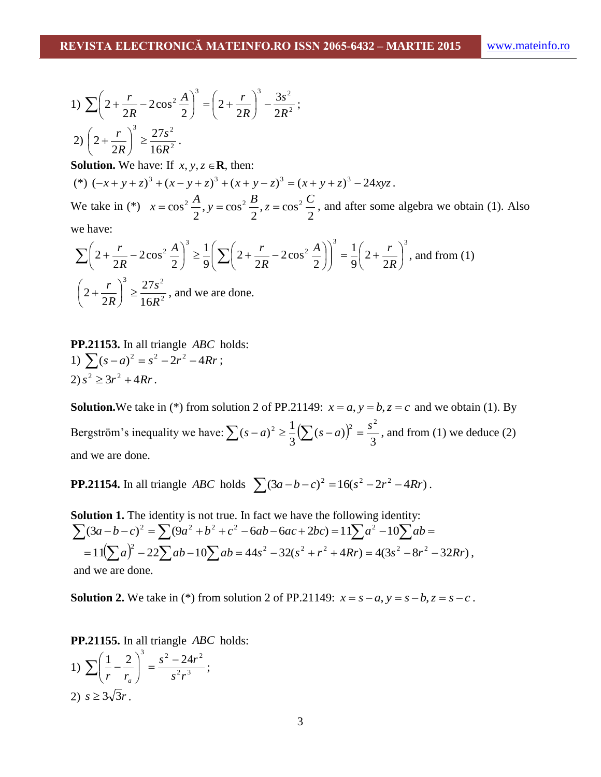1) 
$$
\sum \left(2 + \frac{r}{2R} - 2\cos^2 \frac{A}{2}\right)^3 = \left(2 + \frac{r}{2R}\right)^3 - \frac{3s^2}{2R^2};
$$
  
2) 
$$
\left(2 + \frac{r}{2R}\right)^3 \ge \frac{27s^2}{16R^2}.
$$

**Solution.** We have: If  $x, y, z \in \mathbb{R}$ , then:

 $(*) (x + y + z)^3 + (x - y + z)^3 + (x + y - z)^3 = (x + y + z)^3 - 24xyz$ .

We take in (\*) 2  $z = \cos$ 2  $, y = cos$ 2  $x = \cos^2 \frac{A}{2}$ ,  $y = \cos^2 \frac{B}{2}$ ,  $z = \cos^2 \frac{C}{2}$ , and after some algebra we obtain (1). Also

we have:

$$
\sum \left(2 + \frac{r}{2R} - 2\cos^2{\frac{A}{2}}\right)^3 \ge \frac{1}{9} \left(\sum \left(2 + \frac{r}{2R} - 2\cos^2{\frac{A}{2}}\right)\right)^3 = \frac{1}{9} \left(2 + \frac{r}{2R}\right)^3, \text{ and from (1)}
$$
  

$$
\left(2 + \frac{r}{2R}\right)^3 \ge \frac{27s^2}{16R^2}, \text{ and we are done.}
$$

PP.21153. In all triangle *ABC* holds: 1)  $\sum (s-a)^2 = s^2 - 2r^2 - 4Rr$ ;  $2) s^2 \geq 3r^2 + 4Rr$ .

**Solution.** We take in (\*) from solution 2 of PP.21149:  $x = a$ ,  $y = b$ ,  $z = c$  and we obtain (1). By Bergström's inequality we have:  $\sum (s-a)^2 \geq \frac{1}{2} (\sum (s-a))^2$ 3  $(s-a)$ 3  $(s-a)^2 \geq \frac{1}{2}$  $\sum (s-a)^2 \ge \frac{1}{3} (\sum (s-a))^2 = \frac{s^2}{3}$ , and from (1) we deduce (2) and we are done.

**PP.21154.** In all triangle *ABC* holds  $\sum (3a - b - c)^2 = 16(s^2 - 2r^2 - 4Rr)$ .

**Solution 1.** The identity is not true. In fact we have the following identity:  $\sum (3a-b-c)^2 = \sum (9a^2+b^2+c^2-6ab-6ac+2bc) = 11\sum a^2-10\sum ab =$  $=11(\sum a)^2-22\sum ab-10\sum ab=44s^2-32(s^2+r^2+4Rr)=4(3s^2-8r^2-32Rr)$ **lution 1.** The identity is not true. In fact we have the following identity:<br>  $\int_{0}^{1} (3a-b-c)^{2} = \sum (9a^{2} + b^{2} + c^{2} - 6ab - 6ac + 2bc) = 11\sum a^{2} - 10\sum ab =$ <br>  $= 11(\sum a)^{2} - 22\sum ab - 10\sum ab = 44s^{2} - 32(s^{2} + r^{2} + 4Rr) = 4(3s^{2} - 8r^{2}$ and we are done.

**Solution 2.** We take in (\*) from solution 2 of PP.21149:  $x = s - a$ ,  $y = s - b$ ,  $z = s - c$ .

PP.21155. In all triangle *ABC* holds:

1) 
$$
\sum \left(\frac{1}{r} - \frac{2}{r_a}\right)^3 = \frac{s^2 - 24r^2}{s^2r^3};
$$
  
2)  $s \ge 3\sqrt{3}r.$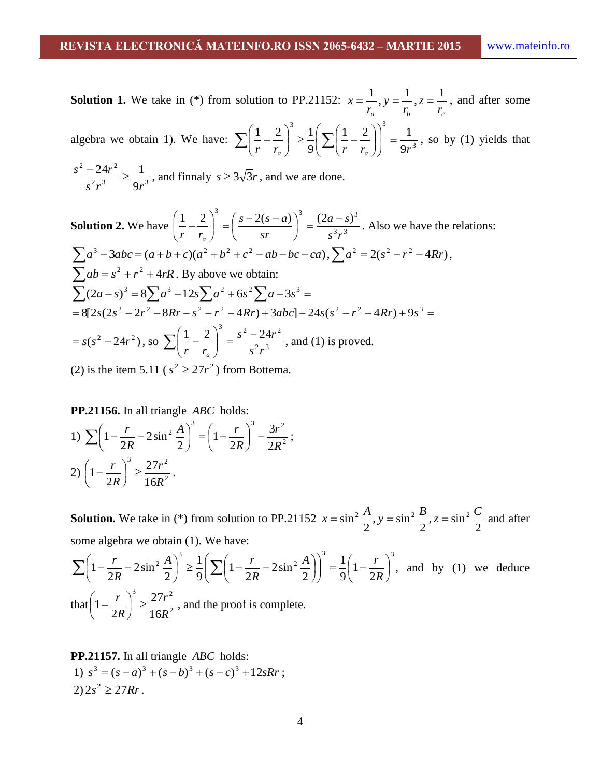**Solution 1.** We take in  $(*)$  from solution to PP.21152:  $r_a$  *r*<sub>b</sub> *r*<sub>c</sub> *z r y r*  $x = \frac{1}{x}$ ,  $y = \frac{1}{x}$ ,  $z = \frac{1}{x}$ , and after some algebra we obtain 1). We have:  $\sum \left| \frac{1}{x} - \frac{2}{x} \right| \ge \frac{1}{0} \sum \left| \frac{1}{x} - \frac{2}{x} \right| = \frac{1}{0x^3}$  $3 \left( \left( \left( \begin{array}{cc} 3 \end{array} \right) \right)$ 9  $1 \quad 2 \mid \mid \mid \mid \mid \mid \mid$ 9  $1 \quad 2 \Big)$ , 1  $r$   $r_a$   $\int$   $\frac{1}{2}$   $\left( \frac{\Delta}{r} \left( r - r_a \right) \right)$  9r  $\vert$  = J  $\backslash$  $\overline{\phantom{a}}$  $\setminus$ ſ  $\Big\}$ J  $\backslash$  $\overline{\phantom{a}}$  $\setminus$ ſ  $\left| \sum_{q} \frac{1}{q} \right| \sum_{r} \left| \frac{1}{r} - \right|$  $\int$  $\backslash$  $\overline{\phantom{a}}$  $\setminus$  $\sum \left(\frac{1}{r} - \frac{2}{r}\right)^3 \ge \frac{1}{9} \left(\sum \left(\frac{1}{r} - \frac{2}{r}\right)\right)^3 = \frac{1}{9r^3}$ , so by (1) yields that  $2x^3 = 0x^3$ 2  $2^{1/2}$ 9  $24r^2$  1  $s^2 r^3$  9*r*  $\frac{s^2 - 24r^2}{s^2} \ge \frac{1}{s^2}$ , and finnaly  $s \ge 3\sqrt{3}r$ , and we are done. **Solution 2.** We have  $\left|\frac{1}{n} - \frac{2}{n}\right| = \left|\frac{3-2(3-a)}{n^2}\right| = \frac{(2a-a)}{n^3n^3}$ 1 2)<sup>3</sup>  $(s-2(s-a))^{3}$   $(2a-s)^{3}$ *s r*  $a - s$ *sr*  $s-2(s-a)$ *r r<sup>a</sup>*  $\int_{0}^{3} = \frac{(2a-1)}{3}$ J  $\left(\frac{s-2(s-a)}{s-1}\right)$  $\setminus$  $\int_{0}^{5} = \left(\frac{s-2(s-1)}{s^r}\right)$  $\bigg)$  $\setminus$  $\overline{\phantom{a}}$  $\setminus$ ſ  $\left| -\frac{2}{\pi} \right| = \frac{3}{2(3-a)} \left| = \frac{(2a-3)}{3(3-a)} \right|$ . Also we have the relations:  $\sum a^3 - 3abc = (a+b+c)(a^2+b^2+c^2-ab-bc-ca), \sum a^2 = 2(s^2-r^2-4Rr),$  $\sum ab = s^2 + r^2 + 4rR$ . By above we obtain:  $\sum (2a-s)^3 = 8\sum a^3 - 12s\sum a^2 + 6s^2\sum a - 3s^3 =$  $= 8[2s(2s^2 - 2r^2 - 8Rr - s^2 - r^2 - 4Rr) + 3abc] - 24s(s^2 - r^2 - 4Rr) + 9s^3 =$  $= s(s^2 - 24r^2),$  so  $\sum \left| \frac{1}{r} - \frac{2}{r} \right| = \frac{s^2 - 24r^2}{s^2 s^3}$ 1 2)<sup>3</sup>  $s^2 - 24r^2$  $s^2r$  $s^2 - 24r$ *r r<sup>a</sup>*  $\int_{0}^{5} = \frac{s^{2} - s^{2}}{s^{2}}$ J  $\backslash$  $\overline{\phantom{a}}$  $\setminus$  $\sum \left(\frac{1}{r} - \frac{2}{r}\right)^3 = \frac{s^2 - 24r^2}{s^2r^3}$ , and (1) is proved.

(2) is the item 5.11 ( $s^2 \geq 27r^2$ ) from Bottema.

PP.21156. In all triangle *ABC* holds:

1) 
$$
\sum \left(1 - \frac{r}{2R} - 2\sin^2 \frac{A}{2}\right)^3 = \left(1 - \frac{r}{2R}\right)^3 - \frac{3r^2}{2R^2};
$$
  
2) 
$$
\left(1 - \frac{r}{2R}\right)^3 \ge \frac{27r^2}{16R^2}.
$$

**Solution.** We take in (\*) from solution to PP.21152 2  $, z = \sin$ 2  $, y = \sin$ 2  $x = \sin^2 \frac{A}{2}$ ,  $y = \sin^2 \frac{B}{2}$ ,  $z = \sin^2 \frac{C}{2}$  and after some algebra we obtain (1). We have:

$$
\sum \left(1 - \frac{r}{2R} - 2\sin^2\frac{A}{2}\right)^3 \ge \frac{1}{9} \left(\sum \left(1 - \frac{r}{2R} - 2\sin^2\frac{A}{2}\right)\right)^3 = \frac{1}{9} \left(1 - \frac{r}{2R}\right)^3, \text{ and by (1) we deduce that}
$$
  
that  $\left(1 - \frac{r}{2R}\right)^3 \ge \frac{27r^2}{16R^2}$ , and the proof is complete.

**PP.21157.** In all triangle *ABC* holds: 1)  $s^3 = (s-a)^3 + (s-b)^3 + (s-c)^3 + 12sRr$ ;  $2) 2s^2 \geq 27Rr$ .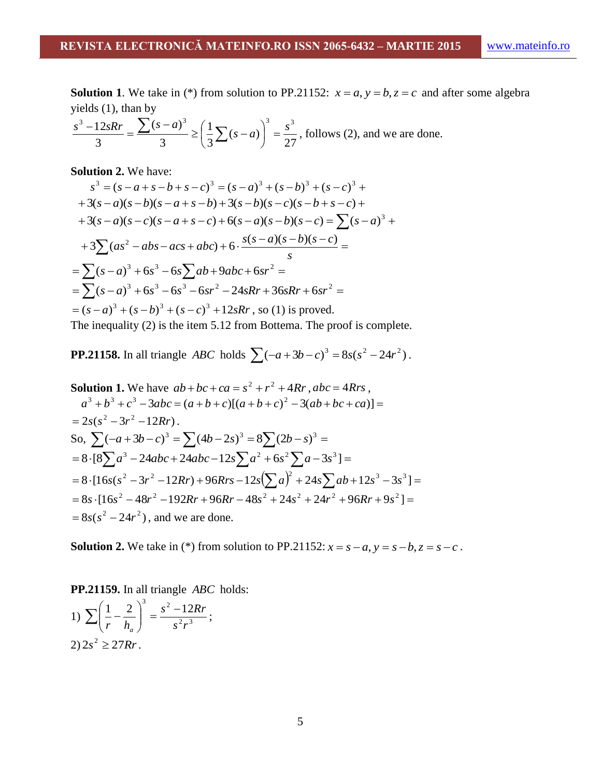**Solution 1**. We take in (\*) from solution to PP.21152:  $x = a$ ,  $y = b$ ,  $z = c$  and after some algebra yields (1), than by

$$
\frac{s^3 - 12sRr}{3} = \frac{\sum (s - a)^3}{3} \ge \left(\frac{1}{3}\sum (s - a)\right)^3 = \frac{s^3}{27}
$$
, follows (2), and we are done.

**Solution 2.** We have:

$$
s^3 = (s - a + s - b + s - c)^3 = (s - a)^3 + (s - b)^3 + (s - c)^3 +
$$
  
+ 3(s - a)(s - b)(s - a + s - b) + 3(s - b)(s - c)(s - b + s - c) +  
+ 3(s - a)(s - c)(s - a + s - c) + 6(s - a)(s - b)(s - c) =  $\sum (s - a)^3$  +  
+ 3 $\sum (as^2 - abs - acs + abc) + 6 \cdot \frac{s(s - a)(s - b)(s - c)}{s}$   
=  $\sum (s - a)^3 + 6s^3 - 6s\sum ab + 9abc + 6sr^2$   
=  $\sum (s - a)^3 + (s^3 - b^3s^2 - 6sr^2 - 24sRr + 36sRr + 6sr^2$   
=  $(s - a)^3 + (s - b)^3 + (s - c)^3 + 12sRr$ , so (1) is proved.  
The inequality (2) is the sign 5, 12 from Bottom. The proof is complete

The inequality (2) is the item 5.12 from Bottema. The proof is complete.

**PP.21158.** In all triangle *ABC* holds  $\sum (-a + 3b - c)^3 = 8s(s^2 - 24r^2)$ .

**Solution 1.** We have 
$$
ab + bc + ca = s^2 + r^2 + 4Rr
$$
,  $abc = 4Rrs$ ,  
\n $a^3 + b^3 + c^3 - 3abc = (a + b + c)[(a + b + c)^2 - 3(ab + bc + ca)] =$   
\n $= 2s(s^2 - 3r^2 - 12Rr)$ .  
\nSo,  $\sum (-a + 3b - c)^3 = \sum (4b - 2s)^3 = 8\sum (2b - s)^3 =$   
\n $= 8 \cdot [8\sum a^3 - 24abc + 24abc - 12s\sum a^2 + 6s^2\sum a - 3s^3] =$   
\n $= 8 \cdot [16s(s^2 - 3r^2 - 12Rr) + 96Rrs - 12s(\sum a)^2 + 24s\sum ab + 12s^3 - 3s^3] =$   
\n $= 8s \cdot [16s^2 - 48r^2 - 192Rr + 96Rr - 48s^2 + 24s^2 + 24r^2 + 96Rr + 9s^2] =$   
\n $= 8s(s^2 - 24r^2)$ , and we are done.

**Solution 2.** We take in (\*) from solution to PP.21152:  $x = s - a$ ,  $y = s - b$ ,  $z = s - c$ .

**PP.21159.** In all triangle *ABC* holds: 1)  $\sum \left| \frac{1}{n} - \frac{2}{h} \right| = \frac{3}{n^2 n^3}$ 1 2  $\int_0^3$   $s^2-12$  $s^2r$  $s^2 - 12Rr$ *r h<sup>a</sup>*  $\frac{s^{2} - s^{2}}{s^{2}}$ J  $\backslash$  $\overline{\phantom{a}}$  $\setminus$  $\sum \left(\frac{1}{r} - \frac{2}{h}\right)^3 = \frac{s^2 - 12Rr}{s^2r^3};$  $2) 2s^2 \geq 27Rr$ .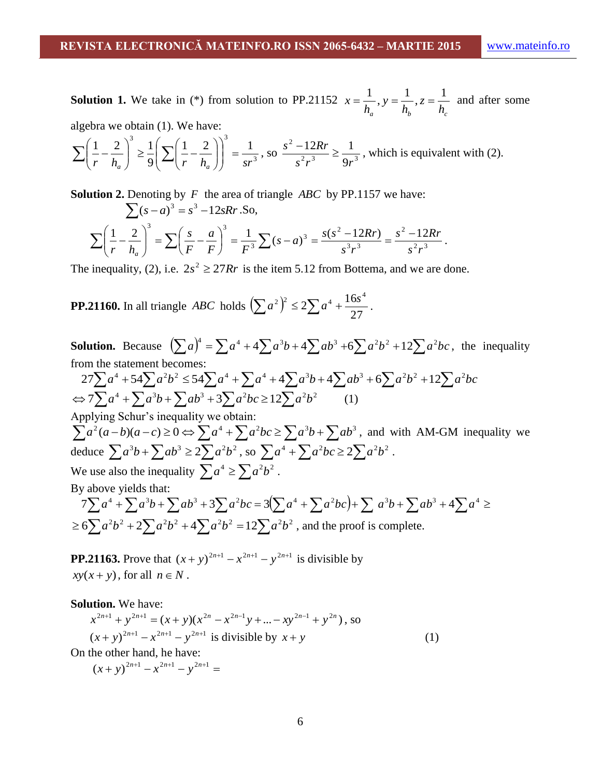**Solution 1.** We take in (\*) from solution to PP.21152  $h_b$ <sup>2</sup>  $h_c$ <sup>2</sup> *z h y h*  $x = \frac{1}{x}, y = \frac{1}{x}, z = \frac{1}{x}$  and after some algebra we obtain (1). We have:

$$
\sum \left(\frac{1}{r} - \frac{2}{h_a}\right)^3 \ge \frac{1}{9} \left(\sum \left(\frac{1}{r} - \frac{2}{h_a}\right)\right)^3 = \frac{1}{sr^3}, \text{ so } \frac{s^2 - 12Rr}{s^2r^3} \ge \frac{1}{9r^3}, \text{ which is equivalent with (2).}
$$

**Solution 2.** Denoting by *F* the area of triangle *ABC* by PP.1157 we have:  
\n
$$
\sum (s-a)^3 = s^3 - 12sRr. So,
$$
\n
$$
\sum \left(\frac{1}{r} - \frac{2}{h_a}\right)^3 = \sum \left(\frac{s}{F} - \frac{a}{F}\right)^3 = \frac{1}{F^3} \sum (s-a)^3 = \frac{s(s^2 - 12Rr)}{s^3r^3} = \frac{s^2 - 12Rr}{s^2r^3}.
$$

The inequality, (2), i.e.  $2s^2 \ge 27Rr$  is the item 5.12 from Bottema, and we are done.

**PP.21160.** In all triangle *ABC* holds  $(\sum a^2)^2$ 27  $\sum a^2$  $\bigg)^2 \leq 2 \sum a^4 + \frac{16s^4}{27}.$ 

**Solution.** Because  $\left(\sum a\right)^4 = \sum a^4 + 4\sum a^3b + 4\sum ab^3 + 6\sum a^2b^2 + 12\sum a^2bc$ , the inequality from the statement becomes:  $27\sum a^4 + 54\sum a^2b^2 \le 54\sum a^4 + \sum a^4 + 4\sum a^3b + 4\sum ab^3 + 6\sum a^2b^2 + 12\sum a^2bc$  $\Leftrightarrow$  7 $\sum a^4 + \sum a^3b + \sum ab^3 + 3\sum a^2bc \ge 12\sum a^2b^2$  (1) Applying Schur's inequality we obtain:  $\sum a^2 (a-b)(a-c) \ge 0 \Leftrightarrow \sum a^4 + \sum a^2bc \ge \sum a^3b + \sum ab^3$ , and with AM-GM inequality we deduce  $\sum a^3b + \sum ab^3 \ge 2\sum a^2b^2$ , so  $\sum a^4 + \sum a^2bc \ge 2\sum a^2b^2$ . We use also the inequality  $\sum a^4 \ge \sum a^2 b^2$ . By above yields that:  $7\sum a^4 + \sum a^3b + \sum ab^3 + 3\sum a^2bc = 3(\sum a^4 + \sum a^2bc) + \sum a^3b + \sum ab^3 + 4\sum a^4 \ge$ Figure  $\sum_{i=1}^{n} a_i b + \sum_{i=1}^{n} a_i b^2 \ge \sum_{i=1}^{n} a_i b^2$ , we also the inequality  $\sum_{i=1}^{n} a_i^4 \ge \sum_{i=1}^{n} a_i^2 b^2$ .<br>  $\sum_{i=1}^{n} a_i^4 + \sum_{i=1}^{n} a_i^3 b + \sum_{i=1}^{n} a_i^3 b^2 + 3 \sum_{i=1}^{n} a_i^3 b^2 = 3(\sum_{i=1}^{n} a_i^4 + \sum_{i=1}^{n} a_i^3 b^$  $\geq 6\sum a^2b^2 + 2\sum a^2b^2 + 4\sum a^2b^2 = 12\sum a^2b^2$ , and the proof is complete.

**PP.21163.** Prove that  $(x + y)^{2n+1} - x^{2n+1} - y^{2n+1}$  is divisible by  $xy(x+y)$ , for all  $n \in N$ .

**Solution.** We have:

$$
x^{2n+1} + y^{2n+1} = (x+y)(x^{2n} - x^{2n-1}y + ... - xy^{2n-1} + y^{2n}),
$$
 so  

$$
(x+y)^{2n+1} - x^{2n+1} - y^{2n+1}
$$
 is divisible by  $x + y$  (1)

On the other hand, he have:

$$
(x+y)^{2n+1} - x^{2n+1} - y^{2n+1} =
$$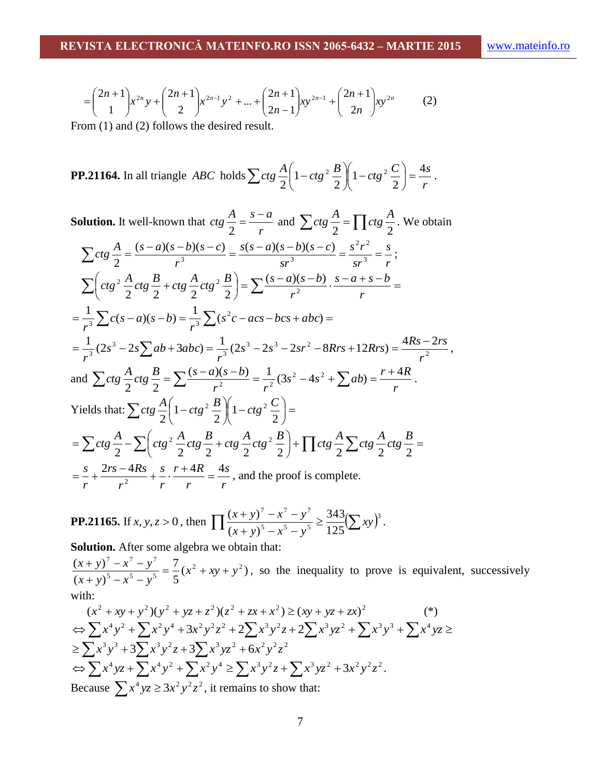$$
= \binom{2n+1}{1} x^{2n} y + \binom{2n+1}{2} x^{2n-1} y^2 + \dots + \binom{2n+1}{2n-1} xy^{2n-1} + \binom{2n+1}{2n} xy^{2n} \tag{2}
$$

From (1) and (2) follows the desired result.

**PP.21164.** In all triangle *ABC* holds 
$$
\sum ctg \frac{A}{2} \left( 1 - ctg^2 \frac{B}{2} \right) \left( 1 - ctg^2 \frac{C}{2} \right) = \frac{4s}{r}
$$
.

Solution. It well-known that 
$$
ctg \frac{A}{2} = \frac{s-a}{r}
$$
 and  $\sum ctg \frac{A}{2} = \prod ctg \frac{A}{2}$ . We obtain  
\n
$$
\sum ctg \frac{A}{2} = \frac{(s-a)(s-b)(s-c)}{r^3} = \frac{s(s-a)(s-b)(s-c)}{sr^3} = \frac{s^2r^2}{sr^3} = \frac{s}{r};
$$
\n
$$
\sum \left(ctg^2 \frac{A}{2}ctg \frac{B}{2} + ctg \frac{A}{2}ctg^2 \frac{B}{2}\right) = \sum \frac{(s-a)(s-b)}{r^2} \cdot \frac{s-a+s-b}{r} =
$$
\n
$$
= \frac{1}{r^3} \sum c(s-a)(s-b) = \frac{1}{r^3} \sum (s^2c - acs - bcs + abc) =
$$
\n
$$
= \frac{1}{r^3} (2s^3 - 2s \sum ab + 3abc) = \frac{1}{r^3} (2s^3 - 2s^3 - 2sr^2 - 8Rrs + 12Rrs) = \frac{4Rs - 2rs}{r^2},
$$
\nand  $\sum ctg \frac{A}{2} ctg \frac{B}{2} = \sum \frac{(s-a)(s-b)}{r^2} = \frac{1}{r^2} (3s^2 - 4s^2 + \sum ab) = \frac{r+4R}{r}.$   
\nYields that:  $\sum ctg \frac{A}{2} \left(1 - ctg^2 \frac{B}{2}\right) \left(1 - ctg^2 \frac{C}{2}\right) =$ \n
$$
= \sum ctg \frac{A}{2} - \sum \left(ctg^2 \frac{A}{2}ctg \frac{B}{2} + ctg \frac{A}{2}ctg^2 \frac{B}{2}\right) + \prod ctg \frac{A}{2} \sum ctg \frac{A}{2}ctg \frac{B}{2} =
$$
\n
$$
= \frac{s}{r} + \frac{2rs - 4Rs}{r^2} + \frac{s}{r} \cdot \frac{r+4R}{r} = \frac{4s}{r},
$$
 and the proof is complete.

**PP.21165.** If 
$$
x, y, z > 0
$$
, then 
$$
\prod \frac{(x + y)^7 - x^7 - y^7}{(x + y)^5 - x^5 - y^5} \ge \frac{343}{125} \left(\sum xy\right)^3.
$$

**Solution.** After some algebra we obtain that:

 $(x^2 + xy + y^2)$ 5 7  $(x + y)$  $(x + y)^7 - x^7 - y^7 = 7$ 5 5 5  $7 \t 7 \t 7$  $x^2 + xy + y$  $(x + y)^5 - x^5 - y^5$  $\frac{x+y}{(x+y)^2-x^2-y^2} = \frac{7}{2}(x^2+xy+1)$  $+ y)^5 - x^5$  –  $\frac{+y}{s} + \frac{y^7 - x^7 - y^7}{s} = \frac{7}{s} (x^2 + xy + y^2)$ , so the inequality to prove is equivalent, successively with:

$$
(x^{2} + xy + y^{2})(y^{2} + yz + z^{2})(z^{2} + zx + x^{2}) \ge (xy + yz + zx)^{2}
$$
  
\n
$$
\Leftrightarrow \sum x^{4}y^{2} + \sum x^{2}y^{4} + 3x^{2}y^{2}z^{2} + 2\sum x^{3}y^{2}z + 2\sum x^{3}yz^{2} + \sum x^{3}y^{3} + \sum x^{4}yz \ge
$$
  
\n
$$
\ge \sum x^{3}y^{3} + 3\sum x^{3}y^{2}z + 3\sum x^{3}yz^{2} + 6x^{2}y^{2}z^{2}
$$
  
\n
$$
\Leftrightarrow \sum x^{4}yz + \sum x^{4}y^{2} + \sum x^{2}y^{4} \ge \sum x^{3}y^{2}z + \sum x^{3}yz^{2} + 3x^{2}y^{2}z^{2}.
$$
  
\nBecause  $\sum x^{4}yz \ge 3x^{2}y^{2}z^{2}$ , it remains to show that: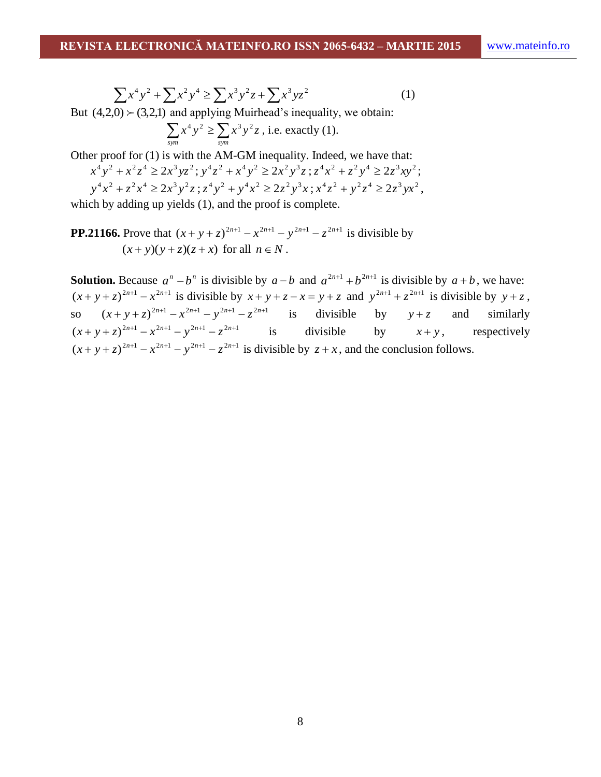$$
\sum x^4 y^2 + \sum x^2 y^4 \ge \sum x^3 y^2 z + \sum x^3 y z^2 \tag{1}
$$

But  $(4,2,0)$   $\geq$   $(3,2,1)$  and applying Muirhead's inequality, we obtain:

$$
\sum_{sym} x^4 y^2 \ge \sum_{sym} x^3 y^2 z
$$
, i.e. exactly (1).

Other proof for (1) is with the AM-GM inequality. Indeed, we have that:

$$
x^4y^2 + x^2z^4 \ge 2x^3yz^2; y^4z^2 + x^4y^2 \ge 2x^2y^3z; z^4x^2 + z^2y^4 \ge 2z^3xy^2; \ny^4x^2 + z^2x^4 \ge 2x^3y^2z; z^4y^2 + y^4x^2 \ge 2z^2y^3x; x^4z^2 + y^2z^4 \ge 2z^3yx^2,
$$

which by adding up yields (1), and the proof is complete.

**PP.21166.** Prove that  $(x + y + z)^{2n+1} - x^{2n+1} - y^{2n+1} - z^{2n+1}$  is divisible by  $(x+y)(y+z)(z+x)$  for all  $n \in N$ .

**Solution.** Because  $a^n - b^n$  is divisible by  $a - b$  and  $a^{2n+1} + b^{2n+1}$  is divisible by  $a + b$ , we have:  $(x+y+z)^{2n+1}$  -  $x^{2n+1}$  is divisible by  $x+y+z-x=y+z$  and  $y^{2n+1}+z^{2n+1}$  is divisible by  $y+z$ , so  $(x + y + z)^{2n+1} - x^{2n+1} - y^{2n+1} - z^{2n+1}$  is divisible by  $y + z$ similarly  $(x+y+z)^{2n+1} - x^{2n+1} - y^{2n+1} - z^{2n+1}$  is divisible by  $x+y$ , respectively  $(x + y + z)^{2n+1} - x^{2n+1} - y^{2n+1} - z^{2n+1}$  is divisible by  $z + x$ , and the conclusion follows.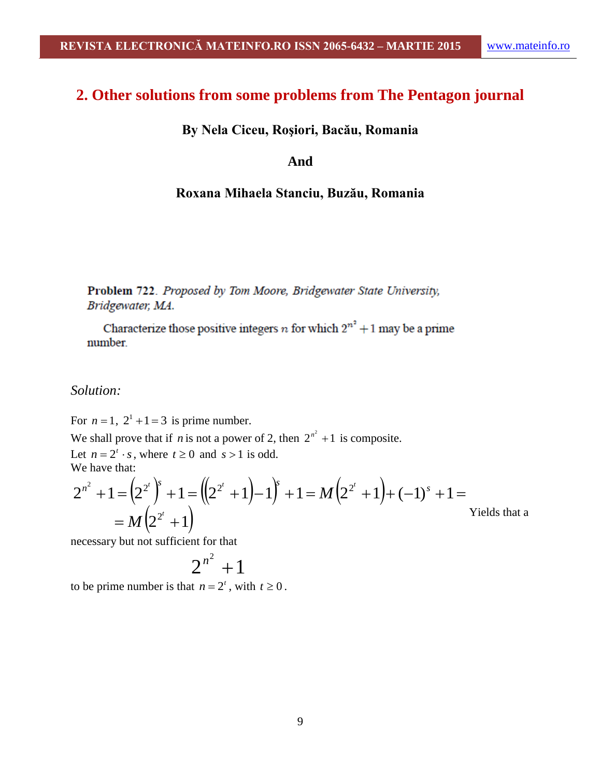# **2. Other solutions from some problems from The Pentagon journal**

**By Nela Ciceu, Roşiori, Bacău, Romania**

#### **And**

#### **Roxana Mihaela Stanciu, Buzău, Romania**

Problem 722. Proposed by Tom Moore, Bridgewater State University, Bridgewater, MA.

Characterize those positive integers *n* for which  $2^{n^2} + 1$  may be a prime number.

#### *Solution:*

For  $n = 1$ ,  $2^1 + 1 = 3$  is prime number.

We shall prove that if *n* is not a power of 2, then  $2^{n^2} + 1$  is composite. Let  $n = 2^t \cdot s$ , where  $t \ge 0$  and  $s > 1$  is odd. We have that:

$$
2^{n^2} + 1 = (2^{2^t})^s + 1 = ((2^{2^t} + 1) - 1)^s + 1 = M(2^{2^t} + 1) + (-1)^s + 1 =
$$
  
= M(2^{2^t} + 1)

necessary but not sufficient for that

$$
2^{n^2}+1
$$

to be prime number is that  $n = 2^t$ , with  $t \ge 0$ .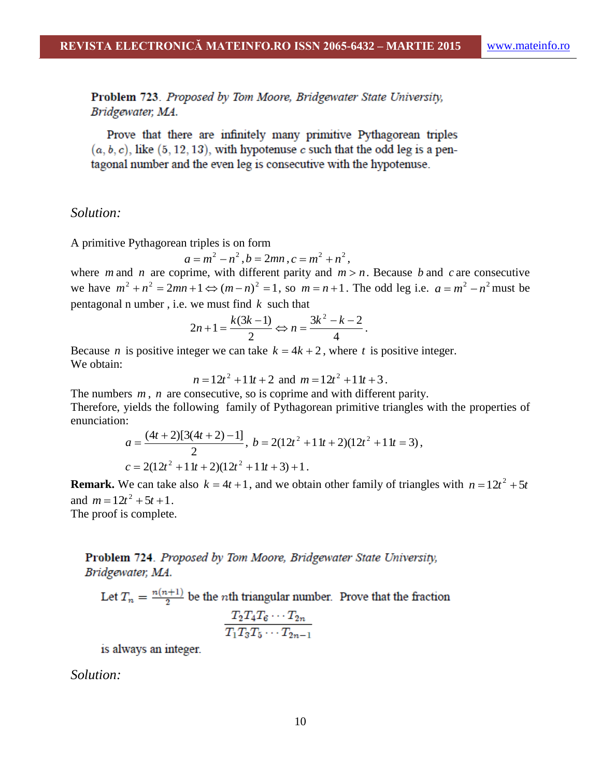Problem 723. Proposed by Tom Moore, Bridgewater State University, Bridgewater, MA.

Prove that there are infinitely many primitive Pythagorean triples  $(a, b, c)$ , like  $(5, 12, 13)$ , with hypotenuse c such that the odd leg is a pentagonal number and the even leg is consecutive with the hypotenuse.

#### *Solution:*

A primitive Pythagorean triples is on form

$$
a = m^2 - n^2
$$
,  $b = 2mn$ ,  $c = m^2 + n^2$ ,

where *m* and *n* are coprime, with different parity and  $m > n$ . Because *b* and *c* are consecutive we have  $m^2 + n^2 = 2mn + 1 \Leftrightarrow (m-n)^2 = 1$ , so  $m = n+1$ . The odd leg i.e.  $a = m^2 - n^2$  must be pentagonal n umber , i.e. we must find *k* such that

$$
2n+1=\frac{k(3k-1)}{2}\Leftrightarrow n=\frac{3k^2-k-2}{4}.
$$

Because *n* is positive integer we can take  $k = 4k + 2$ , where *t* is positive integer. We obtain:

$$
n = 12t^2 + 11t + 2 \text{ and } m = 12t^2 + 11t + 3.
$$

The numbers  $m$ ,  $n$  are consecutive, so is coprime and with different parity. Therefore, yields the following family of Pythagorean primitive triangles with the properties of enunciation:

$$
a = \frac{(4t+2)[3(4t+2)-1]}{2}, b = 2(12t^2+11t+2)(12t^2+11t=3),
$$
  

$$
c = 2(12t^2+11t+2)(12t^2+11t+3)+1.
$$

**Remark.** We can take also  $k = 4t + 1$ , and we obtain other family of triangles with  $n = 12t^2 + 5t$ and  $m = 12t^2 + 5t + 1$ .

The proof is complete.

### Problem 724. Proposed by Tom Moore, Bridgewater State University, Bridgewater, MA.

Let  $T_n = \frac{n(n+1)}{2}$  be the *n*th triangular number. Prove that the fraction

$$
\frac{T_2T_4T_6\cdots T_{2n}}{T_1T_3T_5\cdots T_{2n-1}}
$$

is always an integer.

*Solution:*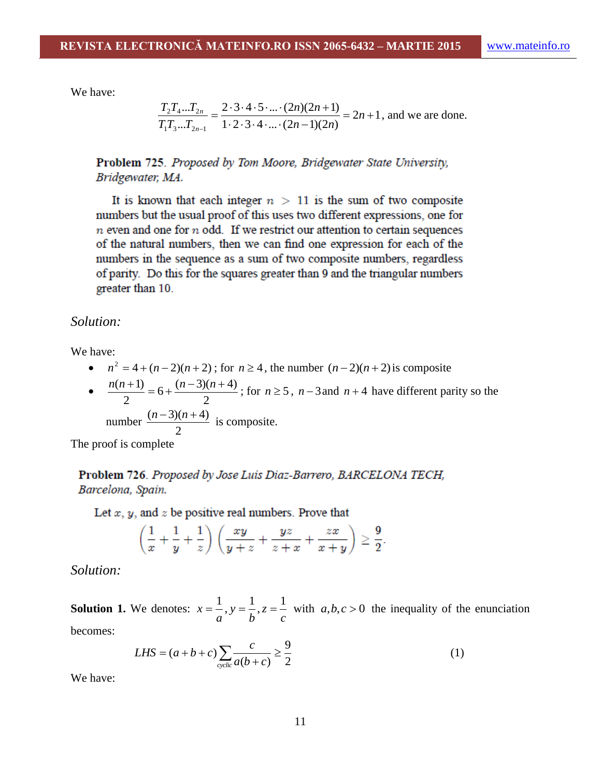We have:

$$
\frac{T_2 T_4 ... T_{2n}}{T_1 T_3 ... T_{2n-1}} = \frac{2 \cdot 3 \cdot 4 \cdot 5 \cdot ... \cdot (2n)(2n+1)}{1 \cdot 2 \cdot 3 \cdot 4 \cdot ... \cdot (2n-1)(2n)} = 2n+1
$$
, and we are done.

Problem 725. Proposed by Tom Moore, Bridgewater State University, Bridgewater, MA.

It is known that each integer  $n > 11$  is the sum of two composite numbers but the usual proof of this uses two different expressions, one for  $n$  even and one for  $n$  odd. If we restrict our attention to certain sequences of the natural numbers, then we can find one expression for each of the numbers in the sequence as a sum of two composite numbers, regardless of parity. Do this for the squares greater than 9 and the triangular numbers greater than 10.

*Solution:*

We have:

- $n^2 = 4 + (n-2)(n+2)$ ; for  $n \ge 4$ , the number  $(n-2)(n+2)$  is composite
- $\bullet$ 2  $6 + \frac{(n-3)(n+4)}{2}$ 2  $\frac{n(n+1)}{n} = 6 + \frac{(n-3)(n+4)}{n}$ ; for  $n \ge 5$ ,  $n-3$  and  $n+4$  have different parity so the number 2  $\frac{(n-3)(n+4)}{2}$  is composite.

The proof is complete

Problem 726. Proposed by Jose Luis Diaz-Barrero, BARCELONA TECH, Barcelona, Spain.

Let  $x, y$ , and  $z$  be positive real numbers. Prove that

$$
\left(\frac{1}{x} + \frac{1}{y} + \frac{1}{z}\right)\left(\frac{xy}{y+z} + \frac{yz}{z+x} + \frac{zx}{x+y}\right) \ge \frac{9}{2}.
$$

*Solution:*

**Solution 1.** We denotes: *c z b y a*  $x = \frac{1}{x}, y = \frac{1}{x}, z = \frac{1}{x}$  with  $a, b, c > 0$  the inequality of the enunciation

becomes:

$$
LHS = (a+b+c)\sum_{\text{cyclic}} \frac{c}{a(b+c)} \ge \frac{9}{2}
$$
 (1)

We have: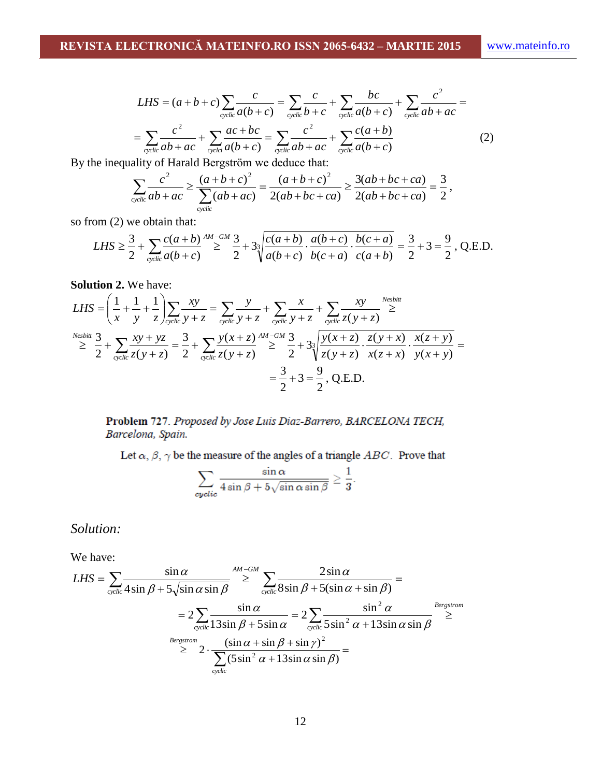$$
LHS = (a+b+c)\sum_{\text{cyclic}}\frac{c}{a(b+c)} = \sum_{\text{cyclic}}\frac{c}{b+c} + \sum_{\text{cyclic}}\frac{bc}{a(b+c)} + \sum_{\text{cyclic}}\frac{c^2}{ab+ac} =
$$

$$
= \sum_{\text{cyclic}}\frac{c^2}{ab+ac} + \sum_{\text{cyclic}}\frac{ac+bc}{a(b+c)} = \sum_{\text{cyclic}}\frac{c^2}{ab+ac} + \sum_{\text{cyclic}}\frac{c(a+b)}{a(b+c)} \tag{2}
$$

By the inequality of Harald Bergström we deduce that:

$$
\sum_{\text{cyclic}} \frac{c^2}{ab+ac} \ge \frac{(a+b+c)^2}{\sum_{\text{cyclic}} (ab+ac)} = \frac{(a+b+c)^2}{2(ab+bc+ca)} \ge \frac{3(ab+bc+ca)}{2(ab+bc+ca)} = \frac{3}{2},
$$

so from (2) we obtain that:

$$
LHS \ge \frac{3}{2} + \sum_{\text{cyclic}} \frac{c(a+b)}{a(b+c)} \stackrel{AM-GM}{\ge} \frac{3}{2} + 3\sqrt{\frac{c(a+b)}{a(b+c)} \cdot \frac{a(b+c)}{b(c+a)} \cdot \frac{b(c+a)}{c(a+b)}} = \frac{3}{2} + 3 = \frac{9}{2}, \text{ Q.E.D.}
$$

**Solution 2.** We have:

$$
LHS = \left(\frac{1}{x} + \frac{1}{y} + \frac{1}{z}\right) \sum_{\text{cyclic}} \frac{xy}{y+z} = \sum_{\text{cyclic}} \frac{y}{y+z} + \sum_{\text{cyclic}} \frac{x}{y+z} + \sum_{\text{cyclic}} \frac{xy}{z(y+z)} \ge \frac{N^{e\text{sbitt}}}{z}
$$
\n
$$
\ge \frac{N^{e\text{sbitt}}}{2} + \sum_{\text{cyclic}} \frac{xy + yz}{z(y+z)} = \frac{3}{2} + \sum_{\text{cyclic}} \frac{y(x+z)}{z(y+z)} \ge \frac{3}{2} + 3\sqrt[3]{\frac{y(x+z)}{z(y+z)} \cdot \frac{z(y+x)}{x(z+x)} \cdot \frac{x(z+y)}{y(x+y)}} = \frac{3}{2} + 3 = \frac{9}{2}, \text{Q.E.D.}
$$

Problem 727. Proposed by Jose Luis Diaz-Barrero, BARCELONA TECH, Barcelona, Spain.

Let  $\alpha$ ,  $\beta$ ,  $\gamma$  be the measure of the angles of a triangle ABC. Prove that

$$
\sum_{\text{cyclic}} \frac{\sin \alpha}{4 \sin \beta + 5 \sqrt{\sin \alpha \sin \beta}} \ge \frac{1}{3}.
$$

*Solution:*

We have:

$$
LHS = \sum_{\text{cyclic}} \frac{\sin \alpha}{4 \sin \beta + 5 \sqrt{\sin \alpha \sin \beta}} \ge \sum_{\text{cyclic}} \frac{2 \sin \alpha}{8 \sin \beta + 5 (\sin \alpha + \sin \beta)} =
$$
  
=  $2 \sum_{\text{cyclic}} \frac{\sin \alpha}{13 \sin \beta + 5 \sin \alpha} = 2 \sum_{\text{cyclic}} \frac{\sin^2 \alpha}{5 \sin^2 \alpha + 13 \sin \alpha \sin \beta} \ge \sum_{\text{cyclic}} \frac{8 \text{ergstrom}}{\sum_{\text{cyclic}} (5 \sin^2 \alpha + 13 \sin \alpha \sin \beta)} =$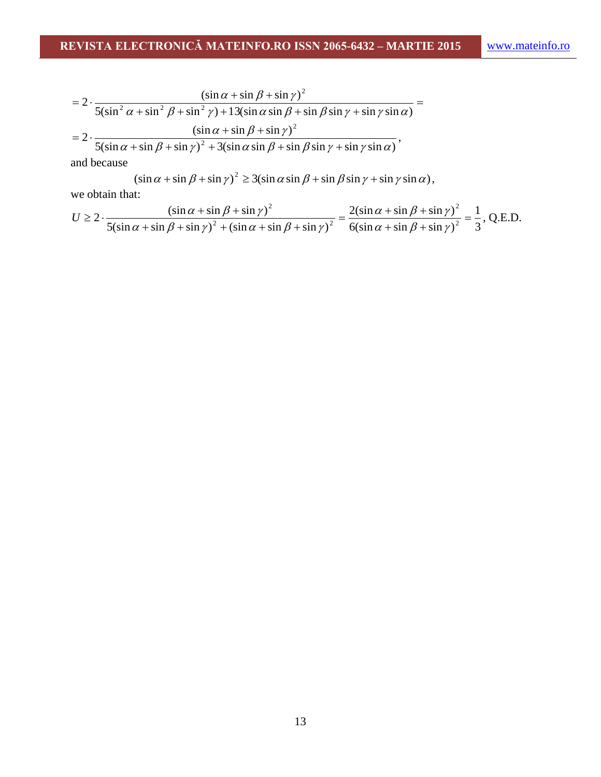$$
= 2 \cdot \frac{(\sin \alpha + \sin \beta + \sin \gamma)^2}{5(\sin^2 \alpha + \sin^2 \beta + \sin^2 \gamma) + 13(\sin \alpha \sin \beta + \sin \beta \sin \gamma + \sin \gamma \sin \alpha)} =
$$
  
=  $2 \cdot \frac{(\sin \alpha + \sin \beta + \sin \gamma)^2}{5(\sin \alpha + \sin \beta + \sin \gamma)^2 + 3(\sin \alpha \sin \beta + \sin \beta \sin \gamma + \sin \gamma \sin \alpha)},$ 

and because

$$
(\sin \alpha + \sin \beta + \sin \gamma)^2 \ge 3(\sin \alpha \sin \beta + \sin \beta \sin \gamma + \sin \gamma \sin \alpha),
$$

we obtain that:

$$
U \ge 2 \cdot \frac{\left(\sin \alpha + \sin \beta + \sin \gamma\right)^2}{5\left(\sin \alpha + \sin \beta + \sin \gamma\right)^2 + \left(\sin \alpha + \sin \beta + \sin \gamma\right)^2} = \frac{2\left(\sin \alpha + \sin \beta + \sin \gamma\right)^2}{6\left(\sin \alpha + \sin \beta + \sin \gamma\right)^2} = \frac{1}{3}, \text{ Q.E.D.}
$$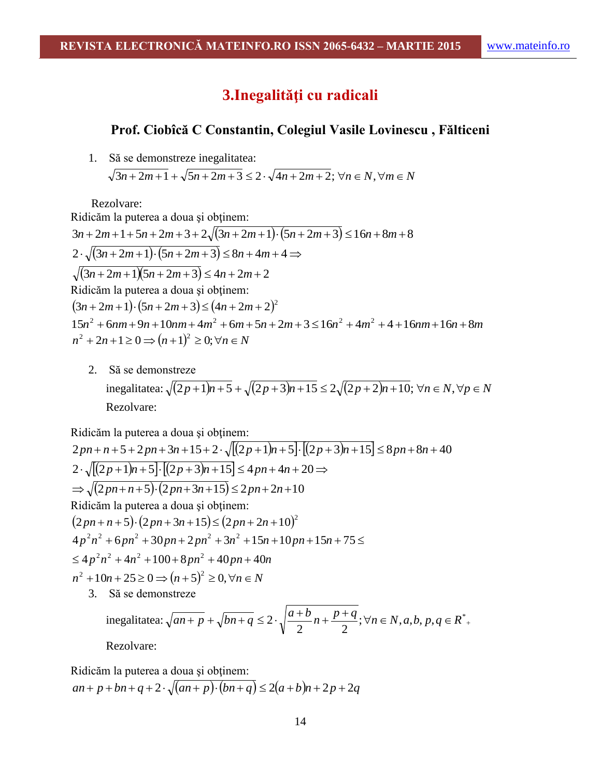## **3.Inegalităţi cu radicali**

### **Prof. Ciobîcă C Constantin, Colegiul Vasile Lovinescu , Fălticeni**

1. Să se demonstreze inegalitatea:

 $\sqrt{3n+2m+1} + \sqrt{5n+2m+3} \leq 2 \cdot \sqrt{4n+2m+2}$ ;  $\forall n \in N, \forall m \in N$ 

Rezolvare:

Ridicăm la puterea a doua şi obţinem:  $3n + 2m + 1 + 5n + 2m + 3 + 2\sqrt{(3n + 2m + 1) \cdot (5n + 2m + 3)} \le 16n + 8m + 8$  $2 \cdot \sqrt{(3n+2m+1)\cdot(5n+2m+3)} \leq 8n+4m+4 \Rightarrow$  $\sqrt{(3n+2m+1)(5n+2m+3)} \le 4n+2m+2$ Ridicăm la puterea a doua şi obţinem:  $(3n+2m+1)\cdot(5n+2m+3)\leq(4n+2m+2)^2$  $15n^2 + 6nm + 9n + 10nm + 4m^2 + 6m + 5n + 2m + 3 \le 16n^2 + 4m^2 + 4 + 16nm + 16n + 8m$  $n^2 + 2n + 1 \ge 0 \Rightarrow (n+1)^2 \ge 0; \forall n \in \mathbb{N}$ 

2. Să se demonstreze  $\frac{1}{2}$  inegalitatea:  $\sqrt{(2p+1)n+5} + \sqrt{(2p+3)n+15} \leq 2\sqrt{(2p+2)n+10}$ ;  $\forall n \in \mathbb{N}, \forall p \in \mathbb{N}$ Rezolvare:

Ridicăm la puterea a doua şi obţinem:

$$
2pn + n + 5 + 2pn + 3n + 15 + 2 \cdot \sqrt{[(2p + 1)n + 5] \cdot [(2p + 3)n + 15]} \le 8pn + 8n + 40
$$
  
\n
$$
2 \cdot \sqrt{[(2p + 1)n + 5] \cdot [(2p + 3)n + 15]} \le 4pn + 4n + 20 \Rightarrow
$$
  
\n
$$
\Rightarrow \sqrt{(2pn + n + 5) \cdot (2pn + 3n + 15)} \le 2pn + 2n + 10
$$
  
\nRidicäm la puterea a doua și obținem:  
\n
$$
(2pn + n + 5) \cdot (2pn + 3n + 15) \le (2pn + 2n + 10)^2
$$
  
\n
$$
4p^2n^2 + 6pn^2 + 30pn + 2pn^2 + 3n^2 + 15n + 10pn + 15n + 75 \le
$$
  
\n
$$
\le 4p^2n^2 + 4n^2 + 100 + 8pn^2 + 40pn + 40n
$$
  
\n
$$
n^2 + 10n + 25 \ge 0 \Rightarrow (n + 5)^2 \ge 0, \forall n \in N
$$
  
\n3. Să se demonstrateze

inegalitatea: 
$$
\sqrt{an+p} + \sqrt{bn+q} \le 2 \cdot \sqrt{\frac{a+b}{2}n + \frac{p+q}{2}}; \forall n \in N, a, b, p, q \in R^*
$$
.  
Boxolver:

Ridicăm la puterea a doua și obținem:  

$$
an + p + bn + q + 2 \cdot \sqrt{(an + p) \cdot (bn + q)} \le 2(a + b)n + 2p + 2q
$$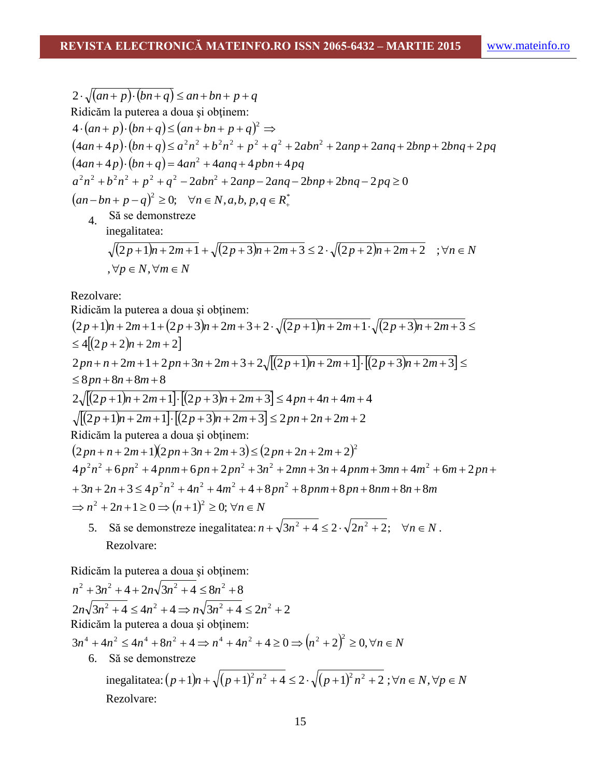$$
2 \cdot \sqrt{(an+p)\cdot(bn+q)} \le an + bn + p + q
$$
  
Radioăm la puterea a doua și obținem:  

$$
4 \cdot (an+p) \cdot (bn+q) \le (an + bn + p + q)^2 \Rightarrow
$$

$$
(4an+4p) \cdot (bn+q) \le a^2n^2 + b^2n^2 + p^2 + q^2 + 2abn^2 + 2anp + 2anq + 2bnp + 2bnq + 2pq
$$

$$
(4an+4p) \cdot (bn+q) = 4an^2 + 4anq + 4pbn + 4pq
$$

$$
a^2n^2 + b^2n^2 + p^2 + q^2 - 2abn^2 + 2anp - 2anq - 2bnp + 2bnq - 2pq \ge 0
$$

$$
(an - bn + p - q)^2 \ge 0; \quad \forall n \in N, a, b, p, q \in R^*
$$
  
4. Să se demonstrateze  
inegalitatea:
$$
\sqrt{(2p+1)n + 2m + 1} + \sqrt{(2p+3)n + 2m + 3} \le 2 \cdot \sqrt{(2p+2)n + 2m + 2} \quad ; \forall n \in N
$$

$$
,\forall p\in N,\forall m\in N
$$

Rezolvare:

Ridicăm la puterea a doua şi obţinem:

2*p* 1*n* 2*m* 1 2*p* 3*n* 2*m* 3 2 2*p* 1*n* 2*m* 1 2*p* 3*n* 2*m* 3 42 *p* 2*n* 2*m* 2 2*pn n* 2*m* 1 2*pn* 3*n* 2*m* 3 2 2*p* 1*n* 2*m* 12*p* 3*n* 2*m* 3 8*pn* 8*n* 8*m* 8 2 2*p* 1*n* 2*m* 12*p* 3*n* 2*m* 3 4*pn* 4*n* 4*m* 4 2*p* 1*n* 2*m* 12*p* 3*n* 2*m* 3 2*pn* 2*n* 2*m* 2 Ridicăm la puterea a doua şi obţinem: 2 2*pn n* 2*m* 1 2*pn* 3*n* 2*m* 3 2*pn* 2*n* 2*m* 2 *<sup>n</sup> <sup>n</sup> <sup>p</sup> <sup>n</sup> <sup>n</sup> <sup>m</sup> p n pnm p n nm <sup>n</sup> <sup>m</sup> <sup>p</sup> <sup>n</sup> p n pnm p n p n <sup>n</sup> mn <sup>n</sup> pnm mn <sup>m</sup> <sup>m</sup> p n* 3 2 3 4 4 4 4 8 8 8 8 8 8 4 6 4 6 2 3 2 3 4 3 4 6 2 2 2 2 2 2 2 2 2 2 2 2 *n* 2*n* 1 0 *n* 1 0; *n N* 2 2 5. Să se demonstreze inegalitatea: *n* 3*n* 4 2 2*n* 2; *n N* 2 2 .

Rezolvare:

Ridicăm la puterea a doua şi obţinem:

$$
n^{2} + 3n^{2} + 4 + 2n\sqrt{3n^{2} + 4} \le 8n^{2} + 8
$$
  
\n
$$
2n\sqrt{3n^{2} + 4} \le 4n^{2} + 4 \Rightarrow n\sqrt{3n^{2} + 4} \le 2n^{2} + 2
$$
  
\nRidicām la puterea a doua și obținem:  
\n
$$
3n^{4} + 4n^{2} \le 4n^{4} + 8n^{2} + 4 \Rightarrow n^{4} + 4n^{2} + 4 \ge 0 \Rightarrow (n^{2} + 2)^{2} \ge 0, \forall n \in N
$$
  
\n6. Să se demonstreze  
\ninegalitatea:  $(p + 1)n + \sqrt{(p + 1)^{2}n^{2} + 4} \le 2 \cdot \sqrt{(p + 1)^{2}n^{2} + 2}; \forall n \in N, \forall p \in N$   
\nRezolvare: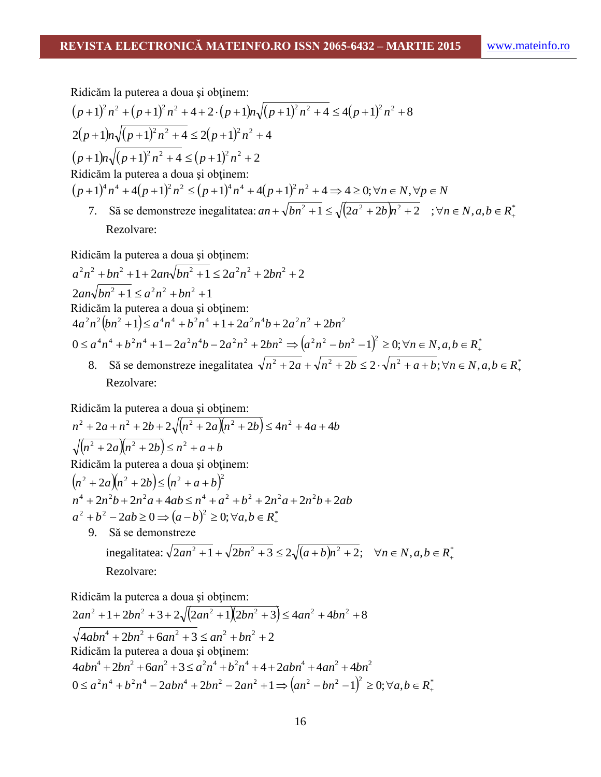Ridicăm la puterea a doua şi obţinem:

$$
(p+1)^2 n^2 + (p+1)^2 n^2 + 4 + 2 \cdot (p+1)n\sqrt{(p+1)^2 n^2 + 4} \le 4(p+1)^2 n^2 + 8
$$
  
2(p+1)n\sqrt{(p+1)^2 n^2 + 4} \le 2(p+1)^2 n^2 + 4  
(p+1)n\sqrt{(p+1)^2 n^2 + 4} \le (p+1)^2 n^2 + 2  
Ridicăm la puterea a doua și obținem:  

$$
(p+1)^4 n^4 + 4(p+1)^2 n^2 \le (p+1)^4 n^4 + 4(p+1)^2 n^2 + 4 \Rightarrow 4 \ge 0; \forall n \in N, \forall p \in N
$$
7. Să se demonstreze inegalitatea:  $an + \sqrt{bn^2 + 1} \le \sqrt{(2a^2 + 2b)n^2 + 2}$ ;  $\forall n \in N, a, b \in R^*$ 

Rezolvare:

Ridicăm la puterea a doua şi obţinem:

 $a^2n^2 + bn^2 + 1 + 2an\sqrt{bn^2 + 1} \le 2a^2n^2 + 2bn^2 + 2$  $2an\sqrt{bn^2 + 1} \le a^2n^2 + bn^2 + 1$ Ridicăm la puterea a doua şi obţinem:  $(4a^2n^2(bn^2+1)) \le a^4n^4 + b^2n^4 + 1 + 2a^2n^4b + 2a^2n^2 + 2bn^2$  ${^4}n^4 + b^2n^4 + 1 - 2a^2n^4b - 2a^2n^2 + 2bn^2 \Rightarrow (a^2n^2 - bn^2 - 1)^2 \ge 0; \forall n \in N, a, b \in R^*$ Ridicăm la puterea a doua și obținem:<br>  $4a^2n^2(bn^2 + 1) \le a^4n^4 + b^2n^4 + 1 + 2a^2n^4b + 2a^2n^2 + 2bn^2$ <br>  $0 \le a^4n^4 + b^2n^4 + 1 - 2a^2n^4b - 2a^2n^2 + 2bn^2 \Rightarrow (a^2n^2 - bn^2 - 1)^2 \ge 0; \forall n \in N, a, b \in R^*$ 8. Să se demonstreze inegalitatea  $\sqrt{n^2 + 2a} + \sqrt{n^2 + 2b} \leq 2 \cdot \sqrt{n^2 + a} + b$ ;  $\forall n \in N, a, b \in R^*$ .

Rezolvare:

Ridicăm la puterea a doua și obținem:  
\n
$$
n^2 + 2a + n^2 + 2b + 2\sqrt{(n^2 + 2a)(n^2 + 2b)} \le 4n^2 + 4a + 4b
$$
  
\n $\sqrt{(n^2 + 2a)(n^2 + 2b)} \le n^2 + a + b$   
\nRidicăm la puterea a doua și obținem:  
\n $(n^2 + 2a)(n^2 + 2b) \le (n^2 + a + b)^2$   
\n $n^4 + 2n^2b + 2n^2a + 4ab \le n^4 + a^2 + b^2 + 2n^2a + 2n^2b + 2ab$   
\n $a^2 + b^2 - 2ab \ge 0 \Rightarrow (a - b)^2 \ge 0; \forall a, b \in R^*$   
\n9. Să se demonstrateze  
\ninegalitatea:  $\sqrt{2an^2 + 1} + \sqrt{2bn^2 + 3} \le 2\sqrt{(a + b)n^2 + 2}; \forall n \in N, a, b \in R^*$   
\nRezolvare:

Ridicăm la puterea a doua şi obţinem:

$$
2an^2 + 1 + 2bn^2 + 3 + 2\sqrt{(2an^2 + 1)(2bn^2 + 3)} \le 4an^2 + 4bn^2 + 8
$$
  
\n
$$
\sqrt{4abn^4 + 2bn^2 + 6an^2 + 3} \le an^2 + bn^2 + 2
$$
  
\nRidicăm la puterea a doua și obținem:  
\n
$$
4abn^4 + 2bn^2 + 6an^2 + 3 \le a^2n^4 + b^2n^4 + 4 + 2abn^4 + 4an^2 + 4bn^2
$$
  
\n
$$
0 \le a^2n^4 + b^2n^4 - 2abn^4 + 2bn^2 - 2an^2 + 1 \Rightarrow (an^2 - bn^2 - 1)^2 \ge 0; \forall a, b \in R^*
$$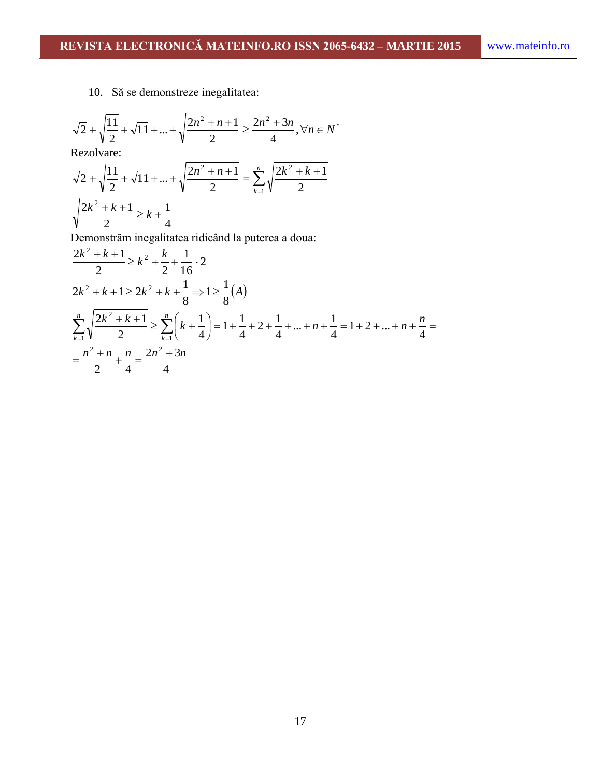10. Să se demonstreze inegalitatea:

$$
\sqrt{2} + \sqrt{\frac{11}{2}} + \sqrt{11} + \dots + \sqrt{\frac{2n^2 + n + 1}{2}} \ge \frac{2n^2 + 3n}{4}, \forall n \in N^*
$$

Rezolvare:

$$
\sqrt{2} + \sqrt{\frac{11}{2}} + \sqrt{11} + \dots + \sqrt{\frac{2n^2 + n + 1}{2}} = \sum_{k=1}^{n} \sqrt{\frac{2k^2 + k + 1}{2}}
$$

$$
\sqrt{\frac{2k^2 + k + 1}{2}} \ge k + \frac{1}{4}
$$

Demonstrăm inegalitatea ridicând la puterea a doua:

$$
\frac{2k^2 + k + 1}{2} \ge k^2 + \frac{k}{2} + \frac{1}{16} \cdot 2
$$
\n
$$
2k^2 + k + 1 \ge 2k^2 + k + \frac{1}{8} \Rightarrow 1 \ge \frac{1}{8}(A)
$$
\n
$$
\sum_{k=1}^n \sqrt{\frac{2k^2 + k + 1}{2}} \ge \sum_{k=1}^n \left(k + \frac{1}{4}\right) = 1 + \frac{1}{4} + 2 + \frac{1}{4} + \dots + n + \frac{1}{4} = 1 + 2 + \dots + n + \frac{n}{4} = \frac{n^2 + n}{2} + \frac{n}{4} = \frac{2n^2 + 3n}{4}
$$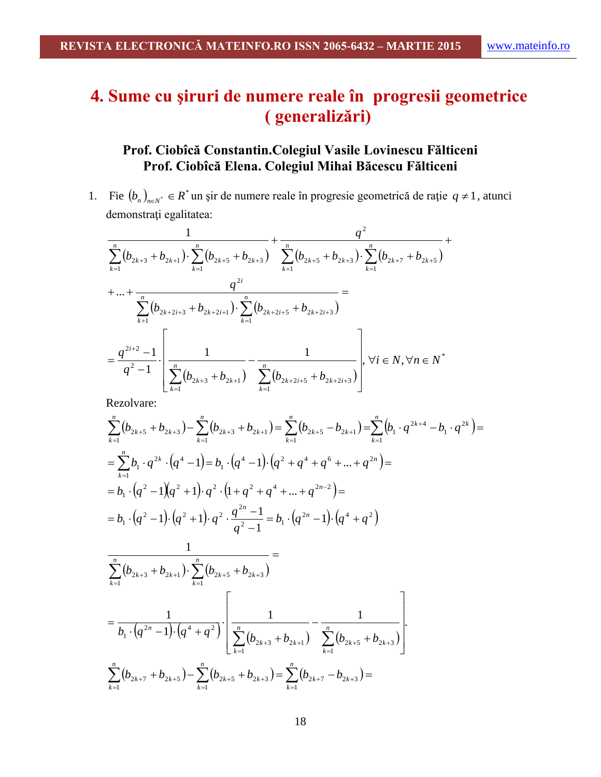# **4. Sume cu şiruri de numere reale în progresii geometrice ( generalizări)**

## **Prof. Ciobîcă Constantin.Colegiul Vasile Lovinescu Fălticeni Prof. Ciobîcă Elena. Colegiul Mihai Băcescu Fălticeni**

1. Fie  $(b_n)_{n \in \mathbb{N}}$   $\in R^*$  un șir de numere reale în progresie geometrică de rație  $q \neq 1$ , atunci demonstraţi egalitatea:

$$
\frac{1}{\sum_{k=1}^{n} (b_{2k+3} + b_{2k+1}) \cdot \sum_{k=1}^{n} (b_{2k+5} + b_{2k+3})} + \frac{q^{2}}{\sum_{k=1}^{n} (b_{2k+5} + b_{2k+3}) \cdot \sum_{k=1}^{n} (b_{2k+7} + b_{2k+5})} + \dots + \frac{q^{2i}}{\sum_{k=1}^{n} (b_{2k+2i+3} + b_{2k+2i+1}) \cdot \sum_{k=1}^{n} (b_{2k+2i+5} + b_{2k+2i+3})} =
$$
\n
$$
= \frac{q^{2i+2} - 1}{q^{2} - 1} \cdot \left[ \frac{1}{\sum_{k=1}^{n} (b_{2k+3} + b_{2k+1})} - \frac{1}{\sum_{k=1}^{n} (b_{2k+2i+5} + b_{2k+2i+3})} \right], \forall i \in N, \forall n \in N^{*}
$$

$$
\sum_{k=1}^{n} (b_{2k+5} + b_{2k+3}) - \sum_{k=1}^{n} (b_{2k+3} + b_{2k+1}) = \sum_{k=1}^{n} (b_{2k+5} - b_{2k+1}) = \sum_{k=1}^{n} (b_1 \cdot q^{2k+4} - b_1 \cdot q^{2k}) =
$$
\n
$$
= \sum_{k=1}^{n} b_1 \cdot q^{2k} \cdot (q^4 - 1) = b_1 \cdot (q^4 - 1) \cdot (q^2 + q^4 + q^6 + \dots + q^{2n}) =
$$
\n
$$
= b_1 \cdot (q^2 - 1)(q^2 + 1) \cdot q^2 \cdot (1 + q^2 + q^4 + \dots + q^{2n-2}) =
$$
\n
$$
= b_1 \cdot (q^2 - 1) \cdot (q^2 + 1) \cdot q^2 \cdot \frac{q^{2n} - 1}{q^2 - 1} = b_1 \cdot (q^{2n} - 1) \cdot (q^4 + q^2)
$$
\n
$$
\frac{1}{\sum_{k=1}^{n} (b_{2k+3} + b_{2k+1}) \cdot \sum_{k=1}^{n} (b_{2k+5} + b_{2k+3})} =
$$
\n
$$
= \frac{1}{b_1 \cdot (q^{2n} - 1) \cdot (q^4 + q^2)} \cdot \left[ \frac{1}{\sum_{k=1}^{n} (b_{2k+3} + b_{2k+1})} - \frac{1}{\sum_{k=1}^{n} (b_{2k+5} + b_{2k+3})} \right].
$$
\n
$$
\sum_{k=1}^{n} (b_{2k+7} + b_{2k+5}) - \sum_{k=1}^{n} (b_{2k+5} + b_{2k+3}) = \sum_{k=1}^{n} (b_{2k+7} - b_{2k+3}) =
$$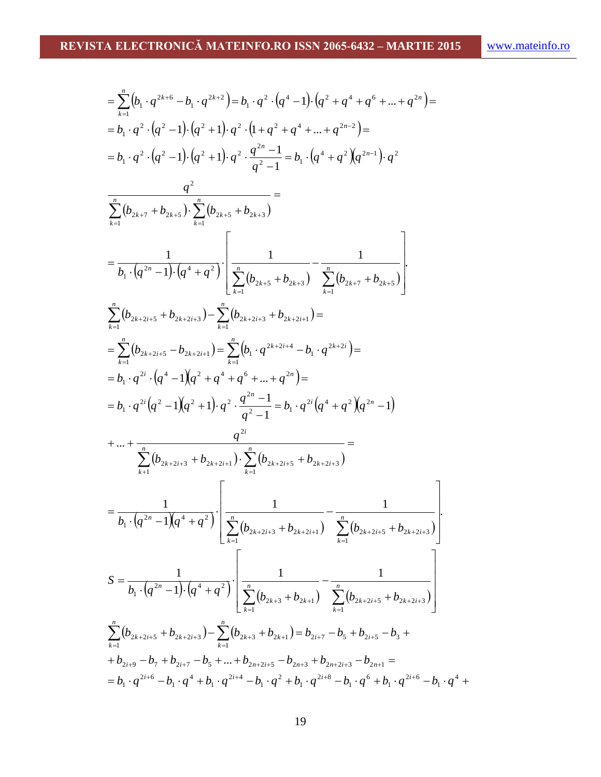$$
= \sum_{k=1}^{n} (b_{1} \cdot q^{2k+6} - b_{1} \cdot q^{2k+2}) = b_{1} \cdot q^{2} \cdot (q^{4} - 1) \cdot (q^{2} + q^{4} + q^{6} + \dots + q^{2n}) =
$$
\n
$$
= b_{1} \cdot q^{2} \cdot (q^{2} - 1) \cdot (q^{2} + 1) \cdot q^{2} \cdot (1 + q^{2} + q^{4} + \dots + q^{2n-2}) =
$$
\n
$$
= b_{1} \cdot q^{2} \cdot (q^{2} - 1) \cdot (q^{2} + 1) \cdot q^{2} \cdot \frac{q^{2n} - 1}{q^{2} - 1} = b_{1} \cdot (q^{4} + q^{2}) (q^{2n-1}) \cdot q^{2}
$$
\n
$$
\frac{q^{2}}{\sum_{k=1}^{n} (b_{2k+7} + b_{2k+5}) \cdot \sum_{k=1}^{n} (b_{2k+5} + b_{2k+3})} =
$$
\n
$$
= \frac{1}{b_{1} \cdot (q^{2n} - 1) \cdot (q^{4} + q^{2})} \cdot \left[ \frac{1}{\sum_{k=1}^{n} (b_{2k+5} + b_{2k+2i})} - \frac{1}{\sum_{k=1}^{n} (b_{2k+7} + b_{2k+5})} \right]
$$
\n
$$
\sum_{k=1}^{n} (b_{2k+2i+5} - b_{2k+2i+3}) - \sum_{k=1}^{n} (b_{1} \cdot q^{2k+2i+4} - b_{1} \cdot q^{2k+2i}) =
$$
\n
$$
= b_{1} \cdot q^{2i} \cdot (q^{4} - 1) (q^{2} + q^{4} + q^{6} + \dots + q^{2n}) =
$$
\n
$$
= b_{1} \cdot q^{2i} (q^{2} - 1) (q^{2} + 1) \cdot q^{2} \cdot \frac{q^{2n} - 1}{q^{2} - 1} = b_{1} \cdot q^{2i} (q^{4} + q^{2}) (q^{2n} - 1)
$$
\n
$$
+ \dots + \frac{q^{2i}}{\sum_{k=1}^{n} (b_{2k+2i+3} + b_{2k+2i+1}) \cdot \sum_{k=1}
$$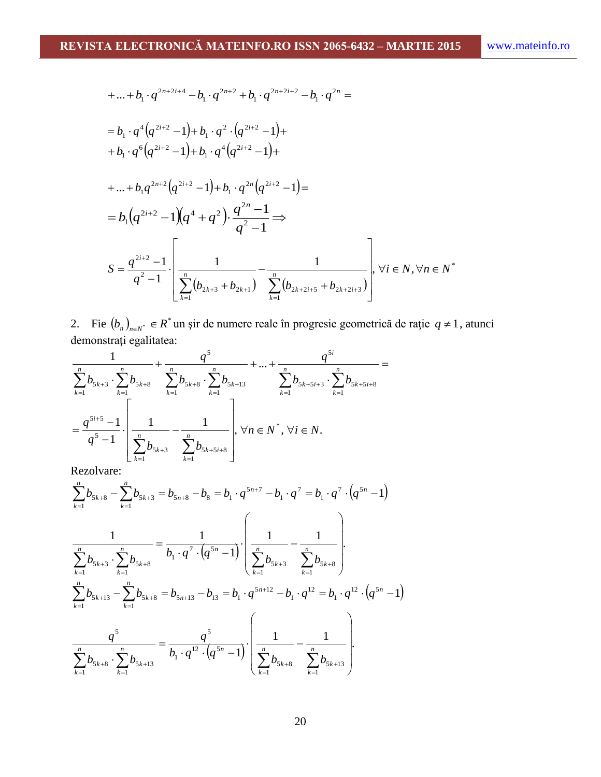+...+
$$
b_1 \cdot q^{2n+2i+4} - b_1 \cdot q^{2n+2} + b_1 \cdot q^{2n+2i+2} - b_1 \cdot q^{2n} =
$$
  
\n
$$
= b_1 \cdot q^4 (q^{2i+2} - 1) + b_1 \cdot q^2 \cdot (q^{2i+2} - 1) +
$$
\n
$$
+ b_1 \cdot q^6 (q^{2i+2} - 1) + b_1 \cdot q^4 (q^{2i+2} - 1) +
$$
\n+...+ $b_1 q^{2n+2} (q^{2i+2} - 1) + b_1 \cdot q^{2n} (q^{2i+2} - 1) =$   
\n
$$
= b_1 (q^{2i+2} - 1) (q^4 + q^2) \cdot \frac{q^{2n} - 1}{q^2 - 1} \Rightarrow
$$
\n
$$
S = \frac{q^{2i+2} - 1}{q^2 - 1} \cdot \left[ \frac{1}{\sum_{k=1}^n (b_{2k+3} + b_{2k+1})} - \frac{1}{\sum_{k=1}^n (b_{2k+2i+5} + b_{2k+2i+3})} \right], \forall i \in N, \forall n \in N^*
$$

2. Fie  $(b_n)_{n \in N^*} \in R^*$  un șir de numere reale în progresie geometrică de rație  $q \neq 1$ , atunci demonstraţi egalitatea:

$$
\frac{1}{\sum_{k=1}^{n} b_{5k+3} \cdot \sum_{k=1}^{n} b_{5k+8}} + \frac{q^5}{\sum_{k=1}^{n} b_{5k+8} \cdot \sum_{k=1}^{n} b_{5k+13}} + \dots + \frac{q^{5i}}{\sum_{k=1}^{n} b_{5k+5i+3} \cdot \sum_{k=1}^{n} b_{5k+5i+8}} =
$$
\n
$$
= \frac{q^{5i+5} - 1}{q^5 - 1} \cdot \left[ \frac{1}{\sum_{k=1}^{n} b_{5k+3}} - \frac{1}{\sum_{k=1}^{n} b_{5k+5i+8}} \right], \forall n \in \mathbb{N}^*, \forall i \in \mathbb{N}.
$$

$$
\sum_{k=1}^{n} b_{5k+8} - \sum_{k=1}^{n} b_{5k+3} = b_{5n+8} - b_{8} = b_{1} \cdot q^{5n+7} - b_{1} \cdot q^{7} = b_{1} \cdot q^{7} \cdot (q^{5n} - 1)
$$
\n
$$
\frac{1}{\sum_{k=1}^{n} b_{5k+3} \cdot \sum_{k=1}^{n} b_{5k+8}} = \frac{1}{b_{1} \cdot q^{7} \cdot (q^{5n} - 1)} \cdot \left( \frac{1}{\sum_{k=1}^{n} b_{5k+3}} - \frac{1}{\sum_{k=1}^{n} b_{5k+8}} \right).
$$
\n
$$
\sum_{k=1}^{n} b_{5k+13} - \sum_{k=1}^{n} b_{5k+8} = b_{5n+13} - b_{13} = b_{1} \cdot q^{5n+12} - b_{1} \cdot q^{12} = b_{1} \cdot q^{12} \cdot (q^{5n} - 1)
$$
\n
$$
\frac{q^{5}}{\sum_{k=1}^{n} b_{5k+8} \cdot \sum_{k=1}^{n} b_{5k+13}} = \frac{q^{5}}{b_{1} \cdot q^{12} \cdot (q^{5n} - 1)} \cdot \left( \frac{1}{\sum_{k=1}^{n} b_{5k+8}} - \frac{1}{\sum_{k=1}^{n} b_{5k+13}} \right).
$$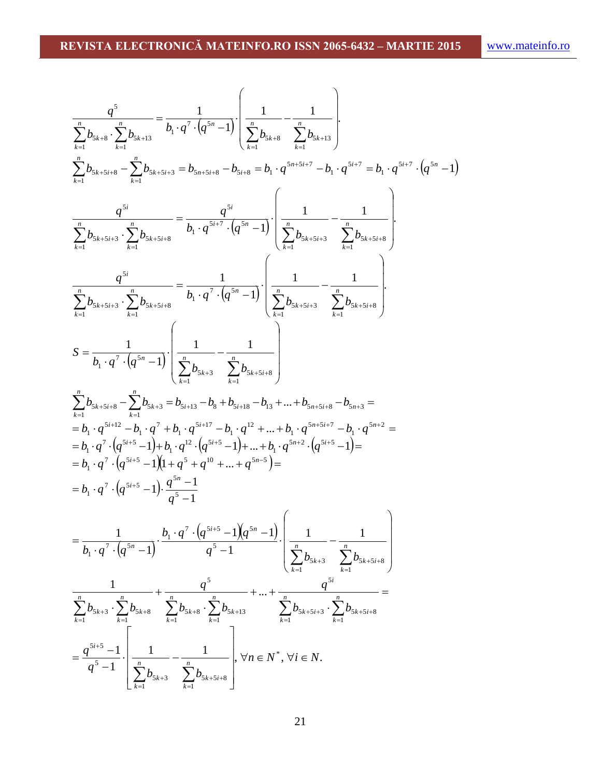$$
\frac{q^{5}}{\sum_{k=1}^{n} b_{3k+8} \cdot \sum_{k=1}^{n} b_{5k+13}} = \frac{1}{b_{1} \cdot q^{7} \cdot (q^{5n} - 1)} \cdot \left( \frac{1}{\sum_{k=1}^{n} b_{5k+8}} - \frac{1}{\sum_{k=1}^{n} b_{5k+13}} \right)
$$
\n
$$
\sum_{k=1}^{n} b_{5k+5+s} = \sum_{k=1}^{n} b_{5k+5+s} = b_{5rs+5+s} - b_{5rs+8} = b_{1} \cdot q^{5s+5s+7} - b_{1} \cdot q^{5s+7} = b_{1} \cdot q^{5s+7} \cdot (q^{5n} - 1)
$$
\n
$$
\frac{q^{5s}}{\sum_{k=1}^{n} b_{5k+5s+3} \cdot \sum_{k=1}^{n} b_{5k+5+s}} = \frac{q^{5s}}{b_{1} \cdot q^{5s+7} \cdot (q^{5n} - 1)} \cdot \left( \frac{1}{\sum_{k=1}^{n} b_{5k+5+s}} - \frac{1}{\sum_{k=1}^{n} b_{5k+5+s}} \right)
$$
\n
$$
\frac{q^{5s}}{\sum_{k=1}^{n} b_{5k+5s+3} \cdot \sum_{k=1}^{n} b_{5k+5+s}} = \frac{1}{b_{1} \cdot q^{7} \cdot (q^{5n} - 1)} \cdot \left( \frac{1}{\sum_{k=1}^{n} b_{5k+5+s}} - \frac{1}{\sum_{k=1}^{n} b_{5k+5+s}} \right)
$$
\n
$$
S = \frac{1}{b_{1} \cdot q^{7} \cdot (q^{5n} - 1)} \cdot \left( \frac{1}{\sum_{k=1}^{n} b_{5k+3} \cdot \sum_{k=1}^{n} b_{5k+5+s}} - b_{1} \cdot q^{5s+5+s} - b_{5n+5} \cdot z - b_{5n+5} = b_{5n+5}
$$
\n
$$
= b_{1} \cdot q^{5s+12} - b_{1} \cdot q^{7} + b_{1} \cdot q^{5s+12} - b_{1} \cdot q^{2} + \dots + b_{5n+5+s} - b_{5n+5} = b_{5n+5} = b_{5n+5}
$$
\n $$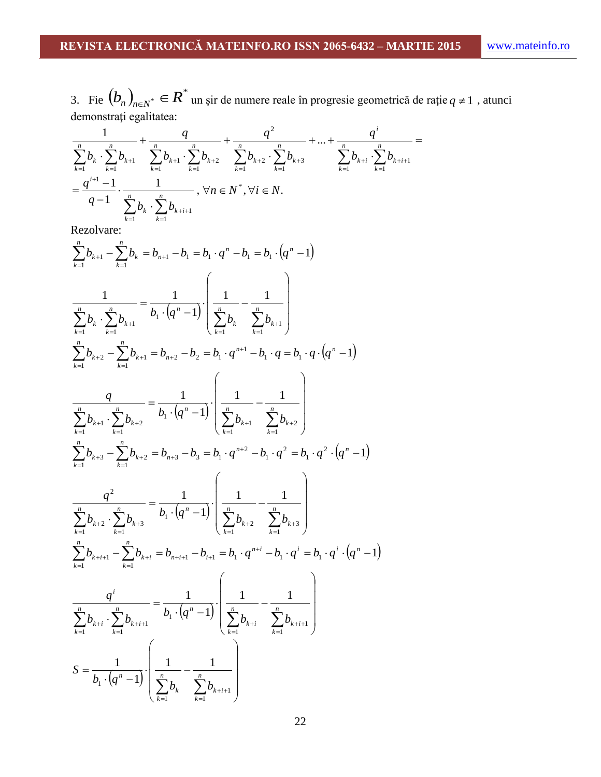3. Fie  $(b_n)_{n \in N^*} \in R^*$  un șir de numere reale în progresie geometrică de rație  $q \neq 1$ , atunci demonstraţi egalitatea:

$$
\frac{1}{\sum_{k=1}^{n} b_k \cdot \sum_{k=1}^{n} b_{k+1}} + \frac{q}{\sum_{k=1}^{n} b_{k+1} \cdot \sum_{k=1}^{n} b_{k+2}} + \frac{q^2}{\sum_{k=1}^{n} b_{k+2} \cdot \sum_{k=1}^{n} b_{k+3}} + \dots + \frac{q^i}{\sum_{k=1}^{n} b_{k+i} \cdot \sum_{k=1}^{n} b_{k+i+1}} = \frac{q^{i+1} - 1}{q - 1} \cdot \frac{1}{\sum_{k=1}^{n} b_k \cdot \sum_{k=1}^{n} b_{k+i+1}}, \forall n \in \mathbb{N}^*, \forall i \in \mathbb{N}.
$$

$$
\sum_{k=1}^{n} b_{k+1} - \sum_{k=1}^{n} b_{k} = b_{n+1} - b_{1} = b_{1} \cdot q^{n} - b_{1} = b_{1} \cdot (q^{n} - 1)
$$
\n
$$
\sum_{k=1}^{n} b_{k} \cdot \sum_{k=1}^{n} b_{k+1} = \frac{1}{b_{1} \cdot (q^{n} - 1)} \cdot \left( \frac{1}{\sum_{k=1}^{n} b_{k}} - \frac{1}{\sum_{k=1}^{n} b_{k+1}} \right)
$$
\n
$$
\sum_{k=1}^{n} b_{k+2} - \sum_{k=1}^{n} b_{k+1} = b_{n+2} - b_{2} = b_{1} \cdot q^{n+1} - b_{1} \cdot q = b_{1} \cdot q \cdot (q^{n} - 1)
$$
\n
$$
\frac{q}{\sum_{k=1}^{n} b_{k+1}} - \sum_{k=1}^{n} b_{k+2} = \frac{1}{b_{1} \cdot (q^{n} - 1)} \cdot \left( \frac{1}{\sum_{k=1}^{n} b_{k+1}} - \frac{1}{\sum_{k=1}^{n} b_{k+2}} \right)
$$
\n
$$
\sum_{k=1}^{n} b_{k+3} - \sum_{k=1}^{n} b_{k+2} = b_{n+3} - b_{3} = b_{1} \cdot q^{n+2} - b_{1} \cdot q^{2} = b_{1} \cdot q^{2} \cdot (q^{n} - 1)
$$
\n
$$
\frac{q^{2}}{\sum_{k=1}^{n} b_{k+2}} - \sum_{k=1}^{n} b_{k+3} = \frac{1}{b_{1} \cdot (q^{n} - 1)} \cdot \left( \frac{1}{\sum_{k=1}^{n} b_{k+2}} - \frac{1}{\sum_{k=1}^{n} b_{k+3}} \right)
$$
\n
$$
\sum_{k=1}^{n} b_{k+2} \cdot \sum_{k=1}^{n} b_{k+2} = b_{n+2} - b_{n+1} - b_{n+1} = b_{1} \cdot q^{n+2} - b_{1} \cdot q^{n} = b_{1} \cdot q^{n} \cdot (q^{n} - 1)
$$
\n
$$
\frac{q^{i}}{\sum_{k=1}^{n} b_{k+2}} - \sum_{k
$$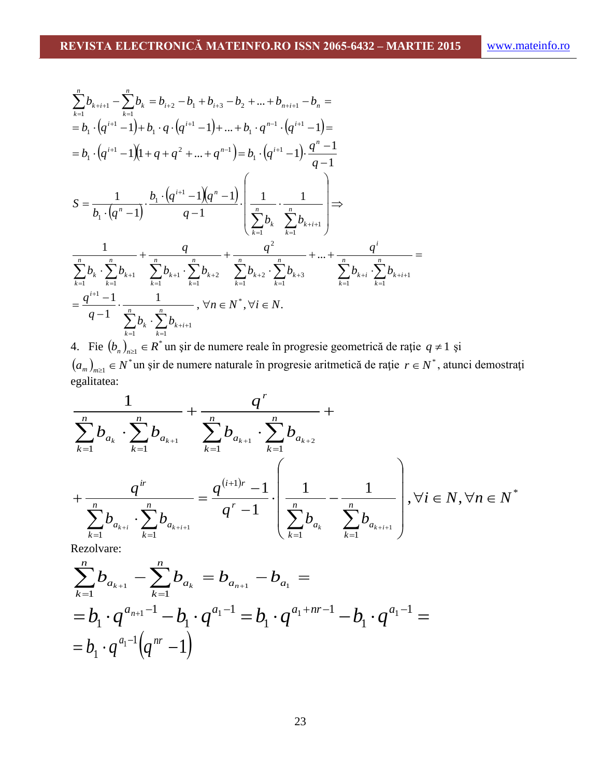$$
\sum_{k=1}^{n} b_{k+i+1} - \sum_{k=1}^{n} b_{k} = b_{i+2} - b_{1} + b_{i+3} - b_{2} + \dots + b_{n+i+1} - b_{n} =
$$
\n
$$
= b_{1} \cdot (q^{i+1} - 1) + b_{1} \cdot q \cdot (q^{i+1} - 1) + \dots + b_{1} \cdot q^{n-1} \cdot (q^{i+1} - 1) =
$$
\n
$$
= b_{1} \cdot (q^{i+1} - 1)(1 + q + q^{2} + \dots + q^{n-1}) = b_{1} \cdot (q^{i+1} - 1) \cdot \frac{q^{n} - 1}{q - 1}
$$
\n
$$
S = \frac{1}{b_{1} \cdot (q^{n} - 1)} \cdot \frac{b_{1} \cdot (q^{i+1} - 1)(q^{n} - 1)}{q - 1} \cdot \left(\frac{1}{\sum_{k=1}^{n} b_{k}} \cdot \frac{1}{\sum_{k=1}^{n} b_{k+i+1}}\right) \Rightarrow
$$
\n
$$
\frac{1}{\sum_{k=1}^{n} b_{k}} \cdot \sum_{k=1}^{n} b_{k+1} + \frac{q}{\sum_{k=1}^{n} b_{k+1}} \cdot \sum_{k=1}^{n} b_{k+2} \cdot \sum_{k=1}^{n} b_{k+3} \cdot \sum_{k=1}^{n} b_{k+4} \cdot \sum_{k=1}^{n} b_{k+i} \cdot \sum_{k=1}^{n} b_{k+i+1} =
$$
\n
$$
= \frac{q^{i+1} - 1}{q - 1} \cdot \frac{1}{\sum_{k=1}^{n} b_{k}} \cdot \sum_{k=1}^{n} b_{k+i+1}, \forall n \in N^{*}, \forall i \in N.
$$

4. Fie  $(b_n)_{n \geq 1} \in R^*$  un șir de numere reale în progresie geometrică de rație  $q \neq 1$  și  $(a_m)_{m \geq 1} \in N^*$ un șir de numere naturale în progresie aritmetică de rație  $r \in N^*$ , atunci demostrați egalitatea:

$$
\frac{1}{\sum_{k=1}^{n} b_{a_k} \cdot \sum_{k=1}^{n} b_{a_{k+1}}} + \frac{q^r}{\sum_{k=1}^{n} b_{a_{k+1}} \cdot \sum_{k=1}^{n} b_{a_{k+2}}} + \frac{1}{\sum_{k=1}^{n} b_{a_{k+2}}} + \frac{1}{\sum_{k=1}^{n} b_{a_{k+1}} \cdot \sum_{k=1}^{n} b_{a_{k+1}}} = \frac{q^{(i+1)r} - 1}{q^r - 1} \cdot \left( \frac{1}{\sum_{k=1}^{n} b_{a_k}} - \frac{1}{\sum_{k=1}^{n} b_{a_{k+i+1}}} \right), \forall i \in N, \forall n \in N^*
$$

$$
\sum_{k=1}^{n} b_{a_{k+1}} - \sum_{k=1}^{n} b_{a_k} = b_{a_{n+1}} - b_{a_1} =
$$
  
=  $b_1 \cdot q^{a_{n+1}-1} - b_1 \cdot q^{a_1-1} = b_1 \cdot q^{a_1+nr-1} - b_1 \cdot q^{a_1-1} =$   
=  $b_1 \cdot q^{a_1-1} (q^{nr} - 1)$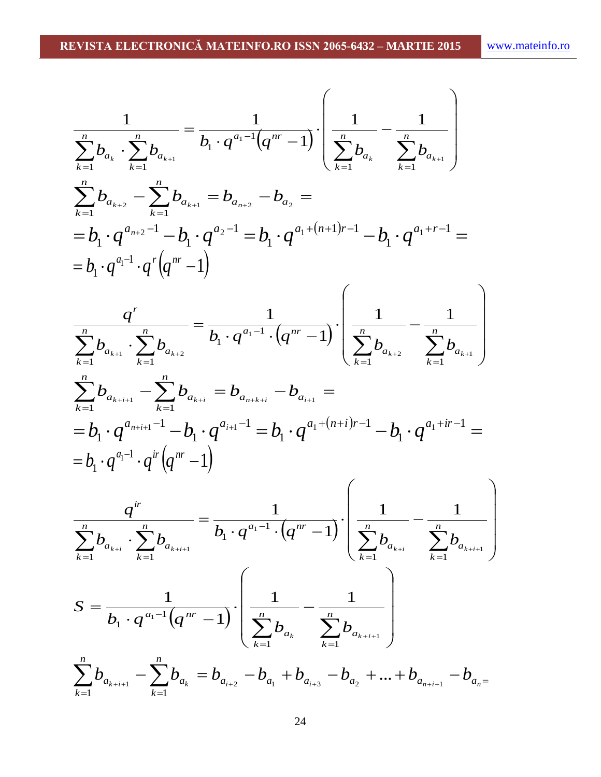$$
\frac{1}{\sum_{k=1}^{n} b_{a_k} \cdot \sum_{k=1}^{n} b_{a_{k+1}}} = \frac{1}{b_1 \cdot q^{a_1-1}(q^{nr}-1)} \cdot \left( \frac{1}{\sum_{k=1}^{n} b_{a_k}} - \frac{1}{\sum_{k=1}^{n} b_{a_{k+1}}} \right)
$$
\n
$$
\sum_{k=1}^{n} b_{a_{k+2}} - \sum_{k=1}^{n} b_{a_{k+1}} = b_{a_{n+2}} - b_{a_2} =
$$
\n
$$
= b_1 \cdot q^{a_{n+2}-1} - b_1 \cdot q^{a_2-1} = b_1 \cdot q^{a_1+(n+1)r-1} - b_1 \cdot q^{a_1+r-1} =
$$
\n
$$
= b_1 \cdot q^{a_1-1} \cdot q^r \left( q^{nr} - 1 \right)
$$
\n
$$
\frac{q^r}{\sum_{k=1}^{n} b_{a_{k+1}} \cdot \sum_{k=1}^{n} b_{a_{k+2}}} = \frac{1}{b_1 \cdot q^{a_1-1} \cdot (q^{nr}-1)} \cdot \left( \frac{1}{\sum_{k=1}^{n} b_{a_{k+2}}} - \frac{1}{\sum_{k=1}^{n} b_{a_{k+1}}} \right)
$$
\n
$$
= b_1 \cdot q^{a_{n+1-1}} - \sum_{k=1}^{n} b_{a_{k+1}} = b_{a_{n+1}} - b_{a_{n+1}} =
$$
\n
$$
= b_1 \cdot q^{a_1-1} \cdot q^r \left( q^{nr} - 1 \right)
$$
\n
$$
\frac{q^{ir}}{\sum_{k=1}^{n} b_{a_{k+1}}} = \frac{1}{b_1 \cdot q^{a_1-1} \cdot (q^{ar}-1)} \cdot \left( \frac{1}{\sum_{k=1}^{n} b_{a_{k+1}}} - \frac{1}{\sum_{k=1}^{n} b_{a_{k+1}}} \right)
$$
\n
$$
S = \frac{1}{b_1 \cdot q^{a_1-1}(q^{nr}-1)} \cdot \left( \frac{1}{\sum_{k=1}^{n} b_{a_k}} - \frac{1}{\sum_{k=1}^{n} b_{a_{k+1}}} - \frac{1}{\sum_{k=1}^{n} b_{a_{k+1
$$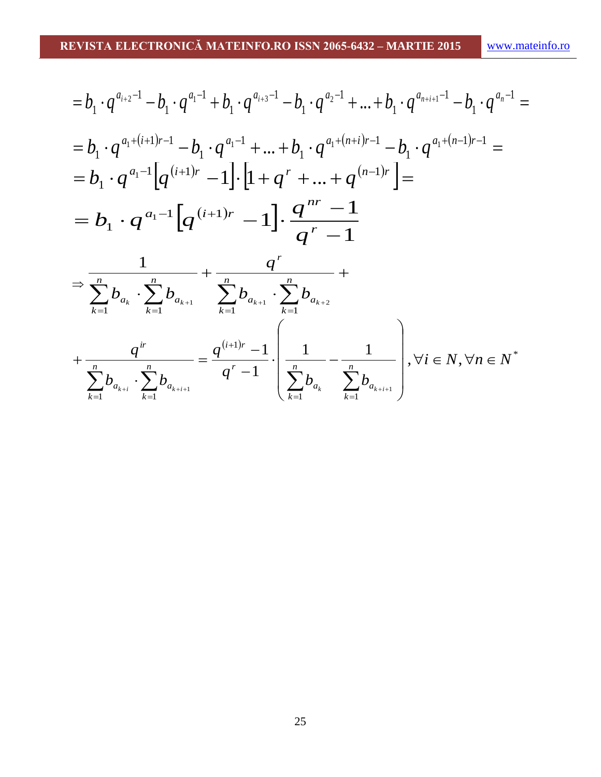$$
=b_{1} \cdot q^{a_{i+2}-1} - b_{1} \cdot q^{a_{1}-1} + b_{1} \cdot q^{a_{i+3}-1} - b_{1} \cdot q^{a_{2}-1} + \dots + b_{1} \cdot q^{a_{n+i+1}-1} - b_{1} \cdot q^{a_{n}-1} =
$$
\n
$$
=b_{1} \cdot q^{a_{1}+(i+1)r-1} - b_{1} \cdot q^{a_{1}-1} + \dots + b_{1} \cdot q^{a_{1}+(n+i)r-1} - b_{1} \cdot q^{a_{1}+(n-1)r-1} =
$$
\n
$$
=b_{1} \cdot q^{a_{1}-1} \left[ q^{(i+1)r} - 1 \right] \cdot \left[ 1 + q^{r} + \dots + q^{(n-1)r} \right] =
$$
\n
$$
=b_{1} \cdot q^{a_{1}-1} \left[ q^{(i+1)r} - 1 \right] \cdot \frac{q^{nr} - 1}{q^{r} - 1}
$$
\n
$$
\Rightarrow \frac{1}{\sum_{k=1}^{n} b_{a_{k}} \cdot \sum_{k=1}^{n} b_{a_{k+1}}} + \frac{q^{r}}{\sum_{k=1}^{n} b_{a_{k+1}} \cdot \sum_{k=1}^{n} b_{a_{k+2}}} + \frac{1}{\sum_{k=1}^{n} b_{a_{k+2}}} + \frac{1}{\sum_{k=1}^{n} b_{a_{k+2}}} + \frac{1}{\sum_{k=1}^{n} b_{a_{k+1}} \cdot \sum_{k=1}^{n} b_{a_{k+1}}}} = \frac{q^{(i+1)r} - 1}{q^{r} - 1} \cdot \left( \frac{1}{\sum_{k=1}^{n} b_{a_{k}}} - \frac{1}{\sum_{k=1}^{n} b_{a_{k+i+1}}} \right), \forall i \in N, \forall n \in N^{*}
$$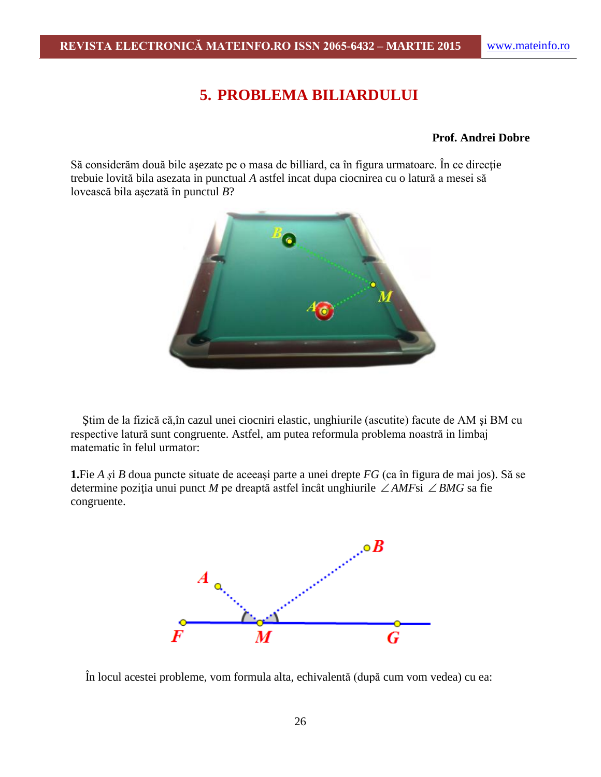# **5. PROBLEMA BILIARDULUI**

#### **Prof. Andrei Dobre**

Să considerăm două bile aşezate pe o masa de billiard, ca în figura urmatoare. În ce direcţie trebuie lovită bila asezata in punctual *A* astfel incat dupa ciocnirea cu o latură a mesei să lovească bila aşezată în punctul *B*?



 Ştim de la fizică că,în cazul unei ciocniri elastic, unghiurile (ascutite) facute de AM şi BM cu respective latură sunt congruente. Astfel, am putea reformula problema noastră in limbaj matematic în felul urmator:

**1.**Fie *A ş*i *B* doua puncte situate de aceeaşi parte a unei drepte *FG* (ca în figura de mai jos). Să se determine poziţia unui punct *M* pe dreaptă astfel încât unghiurile *AMF*si *BMG* sa fie congruente.



În locul acestei probleme, vom formula alta, echivalentă (după cum vom vedea) cu ea: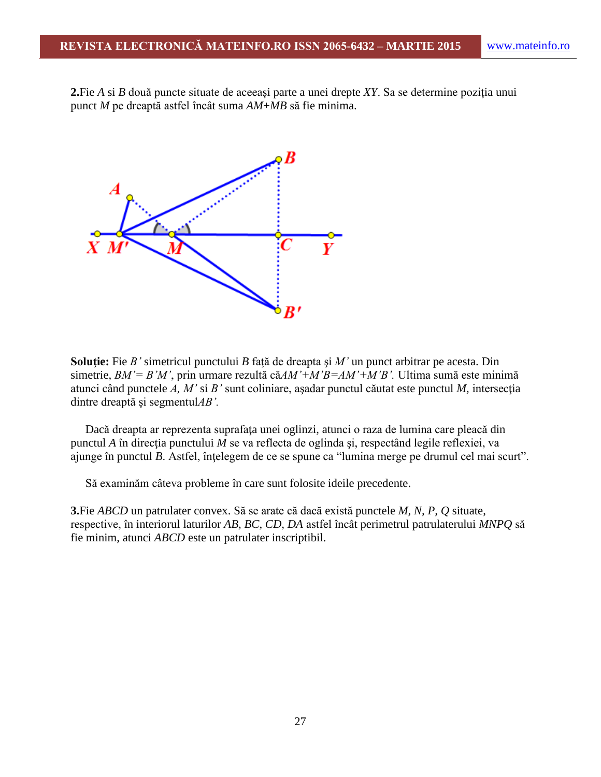**2.**Fie *A* si *B* două puncte situate de aceeaşi parte a unei drepte *XY*. Sa se determine poziţia unui punct *M* pe dreaptă astfel încât suma *AM*+*MB* să fie minima.



**Soluţie:** Fie *B'* simetricul punctului *B* faţă de dreapta şi *M'* un punct arbitrar pe acesta. Din simetrie, *BM'= B'M'*, prin urmare rezultă că*AM'+M'B=AM'+M'B'.* Ultima sumă este minimă atunci când punctele *A, M'* si *B'* sunt coliniare, aşadar punctul căutat este punctul *M,* intersecţia dintre dreaptă şi segmentul*AB'.*

 Dacă dreapta ar reprezenta suprafaţa unei oglinzi, atunci o raza de lumina care pleacă din punctul *A* în direcţia punctului *M* se va reflecta de oglinda şi, respectând legile reflexiei, va ajunge în punctul *B*. Astfel, înţelegem de ce se spune ca "lumina merge pe drumul cel mai scurt".

Să examinăm câteva probleme în care sunt folosite ideile precedente.

**3.**Fie *ABCD* un patrulater convex. Să se arate că dacă există punctele *M, N, P, Q* situate, respective, în interiorul laturilor *AB, BC, CD, DA* astfel încât perimetrul patrulaterului *MNPQ* să fie minim, atunci *ABCD* este un patrulater inscriptibil.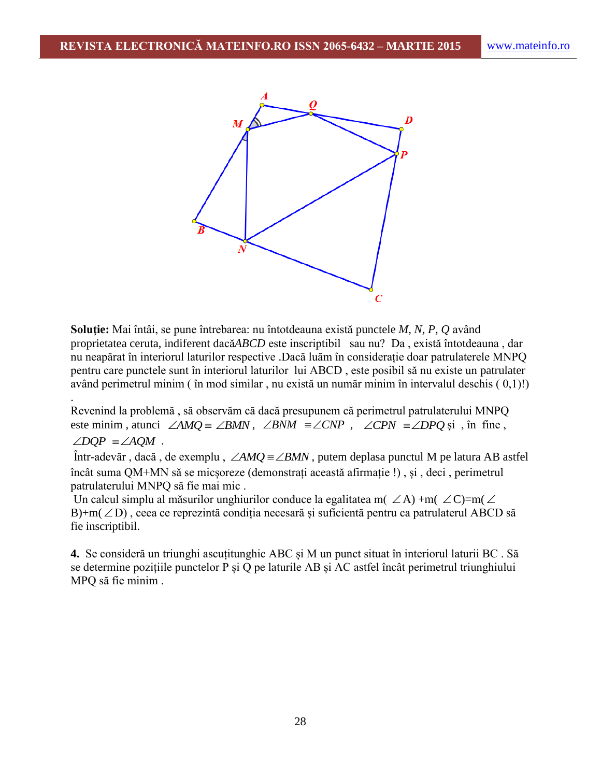

**Soluţie:** Mai întâi, se pune întrebarea: nu întotdeauna există punctele *M, N, P, Q* având proprietatea ceruta, indiferent dacă*ABCD* este inscriptibil sau nu? Da , există întotdeauna , dar nu neapărat în interiorul laturilor respective .Dacă luăm în considerație doar patrulaterele MNPQ pentru care punctele sunt în interiorul laturilor lui ABCD , este posibil să nu existe un patrulater având perimetrul minim ( în mod similar , nu există un număr minim în intervalul deschis ( 0,1)!) .

Revenind la problemă , să observăm că dacă presupunem că perimetrul patrulaterului MNPQ este minim, atunci  $\angle AMQ = \angle BMN$ ,  $\angle BNM = \angle CNP$ ,  $\angle CPN = \angle DPQ$  și, în fine,

$$
\angle DQP \equiv \angle AQM \ .
$$

Într-adevăr , dacă , de exemplu ,  $\angle AMQ \equiv \angle BMN$  , putem deplasa punctul M pe latura AB astfel încât suma QM+MN să se micșoreze (demonstrați această afirmație !) , și , deci , perimetrul patrulaterului MNPQ să fie mai mic .

Un calcul simplu al măsurilor unghiurilor conduce la egalitatea m(  $\angle A$ ) +m(  $\angle C$ )=m( $\angle$  $B$ )+m( $\angle$ D), ceea ce reprezintă condiția necesară și suficientă pentru ca patrulaterul ABCD să fie inscriptibil.

**4.** Se consideră un triunghi ascuțitunghic ABC și M un punct situat în interiorul laturii BC . Să se determine pozițiile punctelor P și Q pe laturile AB și AC astfel încât perimetrul triunghiului MPQ să fie minim .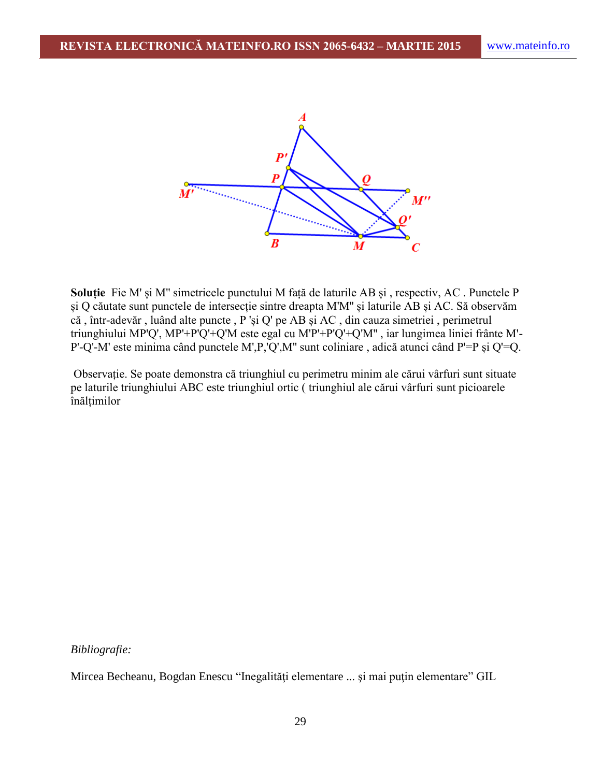

**Soluție** Fie M' și M'' simetricele punctului M față de laturile AB și , respectiv, AC . Punctele P și Q căutate sunt punctele de intersecție sintre dreapta M'M'' și laturile AB și AC. Să observăm că , într-adevăr , luând alte puncte , P 'și Q' pe AB și AC , din cauza simetriei , perimetrul triunghiului MP'Q', MP'+P'Q'+Q'M este egal cu M'P'+P'Q'+Q'M'' , iar lungimea liniei frânte M'- P'-Q'-M' este minima când punctele M',P,'Q',M'' sunt coliniare , adică atunci când P'=P și Q'=Q.

Observație. Se poate demonstra că triunghiul cu perimetru minim ale cărui vârfuri sunt situate pe laturile triunghiului ABC este triunghiul ortic ( triunghiul ale cărui vârfuri sunt picioarele înălțimilor

#### *Bibliografie:*

Mircea Becheanu, Bogdan Enescu "Inegalităţi elementare ... şi mai puţin elementare" GIL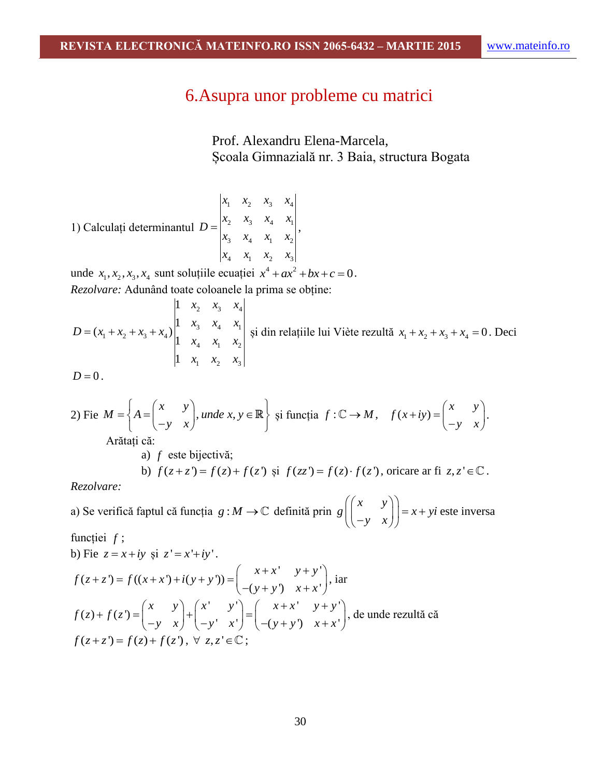# 6.Asupra unor probleme cu matrici

Prof. Alexandru Elena-Marcela, Școala Gimnazială nr. 3 Baia, structura Bogata

1) Calculați determinantul 
$$
D = \begin{vmatrix} x_1 & x_2 & x_3 & x_4 \\ x_2 & x_3 & x_4 & x_1 \\ x_3 & x_4 & x_1 & x_2 \\ x_4 & x_1 & x_2 & x_3 \end{vmatrix},
$$

unde  $x_1, x_2, x_3, x_4$  sunt soluțiile ecuației  $x^4 + ax^2 + bx + c = 0$ .

Rezolvere: Adunând toate coloanele la prima se obține:  
\n
$$
D = (x_1 + x_2 + x_3 + x_4) \begin{vmatrix} 1 & x_2 & x_3 & x_4 \\ 1 & x_3 & x_4 & x_1 \\ 1 & x_4 & x_1 & x_2 \\ 1 & x_1 & x_2 & x_3 \end{vmatrix}
$$
 și din relațiile lui Viète rezultă  $x_1 + x_2 + x_3 + x_4 = 0$ . Deci

$$
D=0.
$$

2) 
$$
\text{2) } \text{Fie } M = \left\{ A = \begin{pmatrix} x & y \\ -y & x \end{pmatrix}, \text{ } \text{unde } x, y \in \mathbb{R} \right\} \text{ și funcția } f: \mathbb{C} \to M, \quad f(x+iy) = \begin{pmatrix} x & y \\ -y & x \end{pmatrix}.
$$

Arătați că:

a) *f* este bijectivă; b)  $f(z+z') = f(z) + f(z')$  și  $f(zz') = f(z) \cdot f(z')$ , oricare ar fi  $z, z' \in \mathbb{C}$ .

*Rezolvare:* 

a) Se verifică faptul că funcția  $g : M \to \mathbb{C}$  definită prin  $g \left( \begin{matrix} x & y \end{matrix} \right)$  $g \left[ \begin{array}{cc} x & y \\ y & z \end{array} \right] = x + yi$  $\begin{pmatrix} x & y \\ -y & x \end{pmatrix} = x + yi$  $\begin{pmatrix} x & y \\ -y & x \end{pmatrix}$  = x + yi este inversa funcției *f* ;

b) Fie 
$$
z = x+iy
$$
 și  $z' = x'+iy'$ .  
\n
$$
f(z+z') = f((x+x')+i(y+y')) = \begin{pmatrix} x+x' & y+y' \\ -(y+y') & x+x' \end{pmatrix}, \text{iar}
$$
\n
$$
f(z)+f(z') = \begin{pmatrix} x & y \\ -y & x \end{pmatrix} + \begin{pmatrix} x' & y' \\ -y' & x' \end{pmatrix} = \begin{pmatrix} x+x' & y+y' \\ -(y+y') & x+x' \end{pmatrix}, \text{ de unde rezultă că}
$$
\n
$$
f(z+z') = f(z) + f(z'), \forall z, z' \in \mathbb{C};
$$